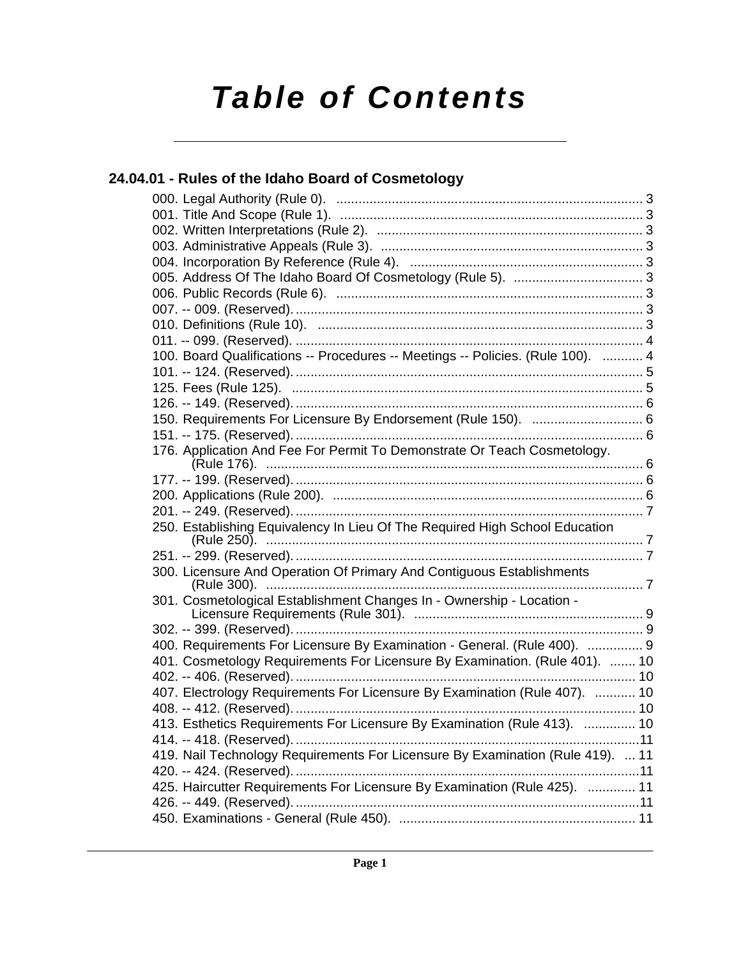# *Table of Contents*

### **[24.04.01 - Rules of the Idaho Board of Cosmetology](#page-2-0)**

| 100. Board Qualifications -- Procedures -- Meetings -- Policies. (Rule 100).  4 |  |
|---------------------------------------------------------------------------------|--|
|                                                                                 |  |
|                                                                                 |  |
|                                                                                 |  |
| 150. Requirements For Licensure By Endorsement (Rule 150).  6                   |  |
|                                                                                 |  |
| 176. Application And Fee For Permit To Demonstrate Or Teach Cosmetology.        |  |
|                                                                                 |  |
|                                                                                 |  |
|                                                                                 |  |
|                                                                                 |  |
| 250. Establishing Equivalency In Lieu Of The Required High School Education     |  |
|                                                                                 |  |
| 300. Licensure And Operation Of Primary And Contiguous Establishments           |  |
|                                                                                 |  |
| 301. Cosmetological Establishment Changes In - Ownership - Location -           |  |
|                                                                                 |  |
|                                                                                 |  |
| 400. Requirements For Licensure By Examination - General. (Rule 400).  9        |  |
| 401. Cosmetology Requirements For Licensure By Examination. (Rule 401).  10     |  |
|                                                                                 |  |
| 407. Electrology Requirements For Licensure By Examination (Rule 407).  10      |  |
|                                                                                 |  |
| 413. Esthetics Requirements For Licensure By Examination (Rule 413).  10        |  |
|                                                                                 |  |
| 419. Nail Technology Requirements For Licensure By Examination (Rule 419).  11  |  |
|                                                                                 |  |
| 425. Haircutter Requirements For Licensure By Examination (Rule 425).  11       |  |
|                                                                                 |  |
|                                                                                 |  |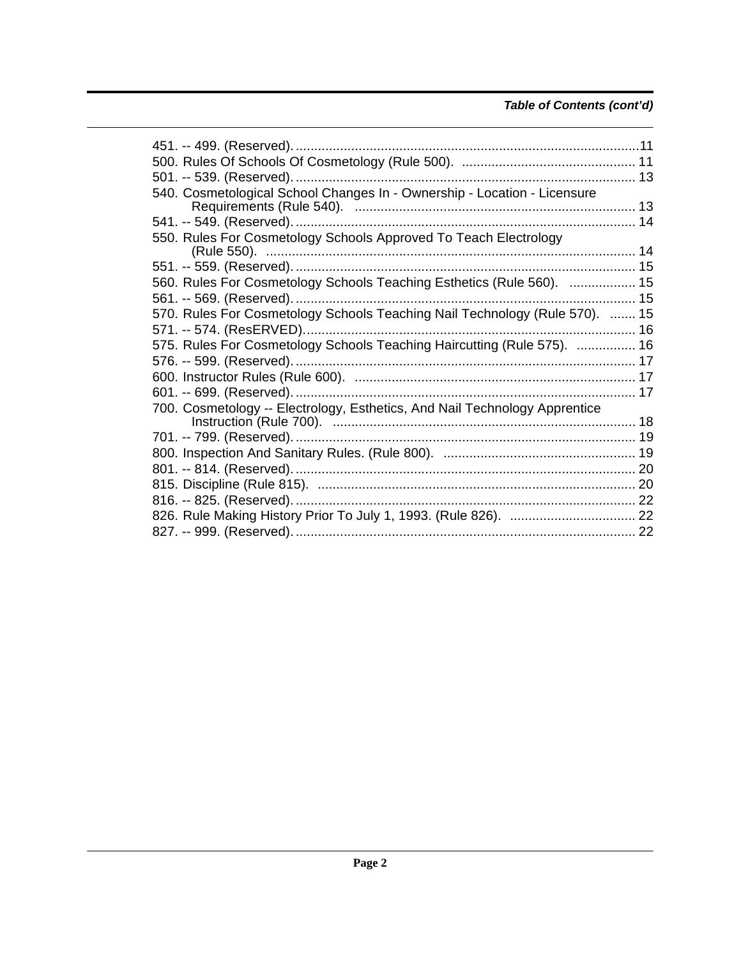### Table of Contents (cont'd)

| 540. Cosmetological School Changes In - Ownership - Location - Licensure    |  |
|-----------------------------------------------------------------------------|--|
|                                                                             |  |
|                                                                             |  |
| 550. Rules For Cosmetology Schools Approved To Teach Electrology            |  |
|                                                                             |  |
|                                                                             |  |
| 560. Rules For Cosmetology Schools Teaching Esthetics (Rule 560).  15       |  |
|                                                                             |  |
| 570. Rules For Cosmetology Schools Teaching Nail Technology (Rule 570).  15 |  |
|                                                                             |  |
| 575. Rules For Cosmetology Schools Teaching Haircutting (Rule 575).  16     |  |
|                                                                             |  |
|                                                                             |  |
|                                                                             |  |
| 700. Cosmetology -- Electrology, Esthetics, And Nail Technology Apprentice  |  |
|                                                                             |  |
|                                                                             |  |
|                                                                             |  |
|                                                                             |  |
|                                                                             |  |
|                                                                             |  |
|                                                                             |  |
|                                                                             |  |
|                                                                             |  |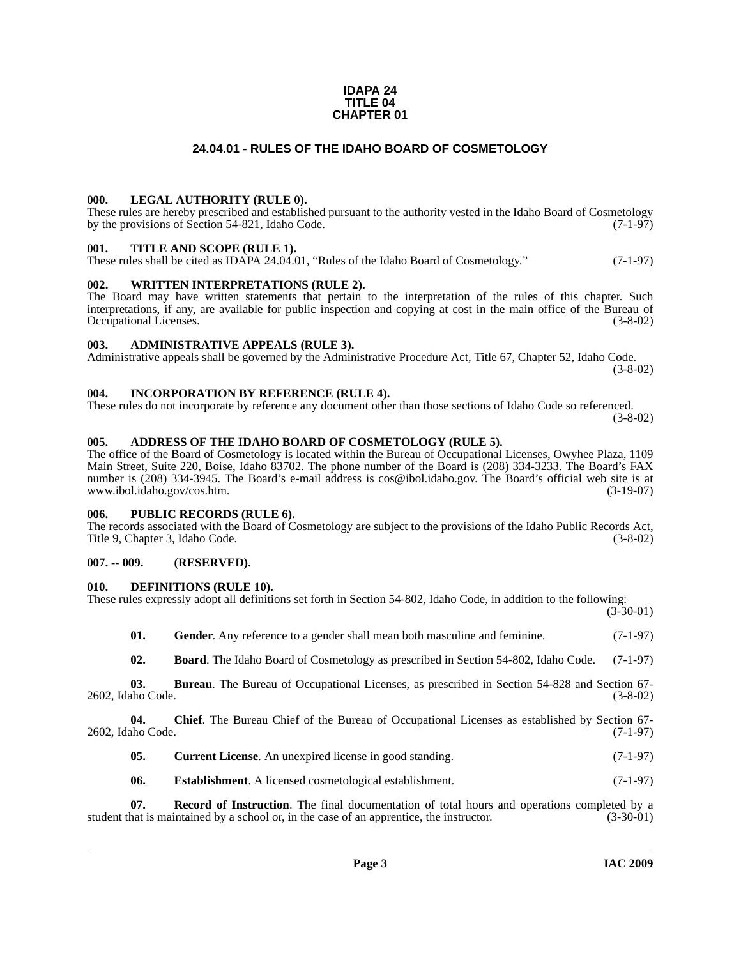#### **IDAPA 24 TITLE 04 CHAPTER 01**

#### **24.04.01 - RULES OF THE IDAHO BOARD OF COSMETOLOGY**

#### <span id="page-2-1"></span><span id="page-2-0"></span>**000. LEGAL AUTHORITY (RULE 0).**

These rules are hereby prescribed and established pursuant to the authority vested in the Idaho Board of Cosmetology by the provisions of Section 54-821, Idaho Code.  $(7-1-97)$ 

#### <span id="page-2-2"></span>**001. TITLE AND SCOPE (RULE 1).**

These rules shall be cited as IDAPA 24.04.01, "Rules of the Idaho Board of Cosmetology." (7-1-97)

#### <span id="page-2-3"></span>**002. WRITTEN INTERPRETATIONS (RULE 2).**

The Board may have written statements that pertain to the interpretation of the rules of this chapter. Such interpretations, if any, are available for public inspection and copying at cost in the main office of the Bureau of Occupational Licenses. (3-8-02)

#### <span id="page-2-4"></span>**003. ADMINISTRATIVE APPEALS (RULE 3).**

Administrative appeals shall be governed by the Administrative Procedure Act, Title 67, Chapter 52, Idaho Code. (3-8-02)

#### <span id="page-2-5"></span>**004. INCORPORATION BY REFERENCE (RULE 4).**

These rules do not incorporate by reference any document other than those sections of Idaho Code so referenced. (3-8-02)

#### <span id="page-2-10"></span><span id="page-2-6"></span>**005. ADDRESS OF THE IDAHO BOARD OF COSMETOLOGY (RULE 5).**

[The office of the Board of Cosmetology is located within the Bureau of Occupational Licenses, Owyhee Plaza, 1109](mailto:cos@ibol.idaho.gov)  Main Street, Suite 220, Boise, Idaho 83702. The phone number of the Board is (208) 334-3233. The Board's FAX number is (208) 334-3945. The Board's e-mail address is cos@ibol.idaho.gov. The Board's official web site is at www.ibol.idaho.gov/cos.htm. (3-19-07) www.ibol.idaho.gov/cos.htm.

#### <span id="page-2-7"></span>**006. PUBLIC RECORDS (RULE 6).**

The records associated with the Board of Cosmetology are subject to the provisions of the Idaho Public Records Act, Title 9, Chapter 3, Idaho Code. (3-8-02)

#### <span id="page-2-8"></span>**007. -- 009. (RESERVED).**

#### <span id="page-2-14"></span><span id="page-2-9"></span>**010. DEFINITIONS (RULE 10).**

| These rules expressly adopt all definitions set forth in Section 54-802, Idaho Code, in addition to the following: |  |  |  |  |
|--------------------------------------------------------------------------------------------------------------------|--|--|--|--|
|                                                                                                                    |  |  |  |  |
|                                                                                                                    |  |  |  |  |

 $(3-30-01)$ 

<span id="page-2-16"></span><span id="page-2-11"></span>

| - 01. | Gender. Any reference to a gender shall mean both masculine and feminine.                          | $(7-1-97)$ |
|-------|----------------------------------------------------------------------------------------------------|------------|
| - 02. | <b>Board.</b> The Idaho Board of Cosmetology as prescribed in Section 54-802, Idaho Code. (7-1-97) |            |

**03. Bureau**. The Bureau of Occupational Licenses, as prescribed in Section 54-828 and Section 67- 2602, Idaho Code. (3-8-02)

**04. Chief**. The Bureau Chief of the Bureau of Occupational Licenses as established by Section 67- 2602, Idaho Code. (7-1-97)

<span id="page-2-15"></span><span id="page-2-13"></span><span id="page-2-12"></span>

| 05. | <b>Current License.</b> An unexpired license in good standing. | $(7-1-97)$ |
|-----|----------------------------------------------------------------|------------|
|-----|----------------------------------------------------------------|------------|

<span id="page-2-17"></span>**06.** Establishment. A licensed cosmetological establishment. (7-1-97)

**07. Record of Instruction**. The final documentation of total hours and operations completed by a hat is maintained by a school or, in the case of an apprentice, the instructor. (3-30-01) student that is maintained by a school or, in the case of an apprentice, the instructor.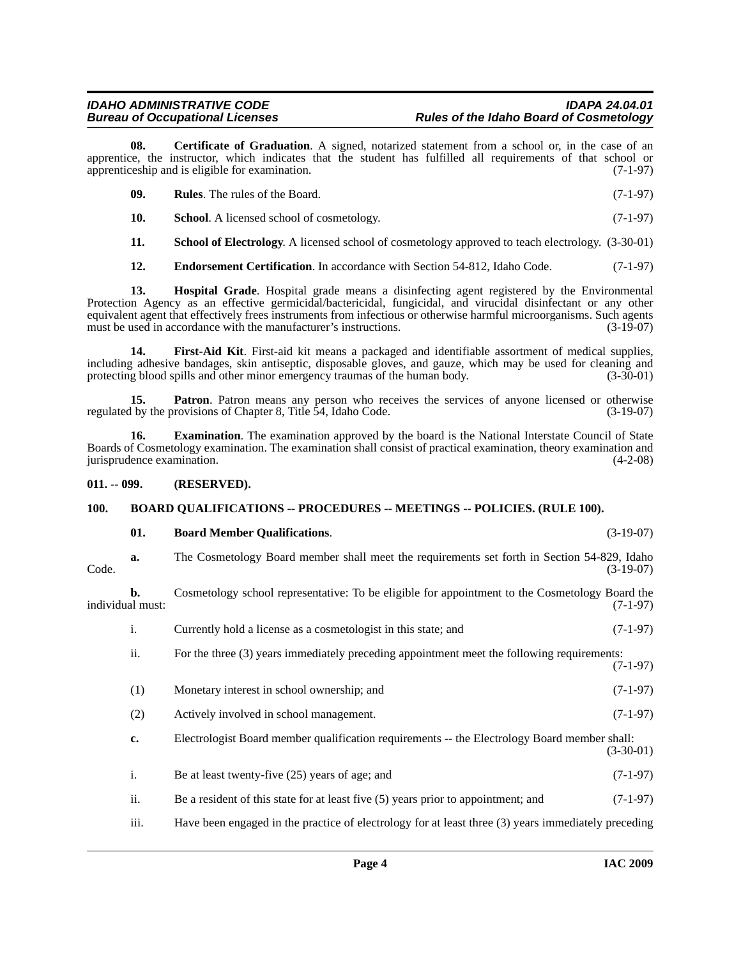**08. Certificate of Graduation**. A signed, notarized statement from a school or, in the case of an apprentice, the instructor, which indicates that the student has fulfilled all requirements of that school or apprenticeship and is eligible for examination. (7-1-97)

<span id="page-3-11"></span><span id="page-3-10"></span><span id="page-3-4"></span>

| - 09. | <b>Rules.</b> The rules of the Board.            | $(7-1-97)$ |
|-------|--------------------------------------------------|------------|
|       | <b>School.</b> A licensed school of cosmetology. | $(7-1-97)$ |

<span id="page-3-12"></span>**11. School of Electrology**. A licensed school of cosmetology approved to teach electrology. (3-30-01)

<span id="page-3-8"></span><span id="page-3-5"></span>**12. Endorsement Certification**. In accordance with Section 54-812, Idaho Code. (7-1-97)

**13. Hospital Grade**. Hospital grade means a disinfecting agent registered by the Environmental Protection Agency as an effective germicidal/bactericidal, fungicidal, and virucidal disinfectant or any other equivalent agent that effectively frees instruments from infectious or otherwise harmful microorganisms. Such agents must be used in accordance with the manufacturer's instructions. (3-19-07) must be used in accordance with the manufacturer's instructions.

<span id="page-3-7"></span>**14. First-Aid Kit**. First-aid kit means a packaged and identifiable assortment of medical supplies, including adhesive bandages, skin antiseptic, disposable gloves, and gauze, which may be used for cleaning and protecting blood spills and other minor emergency traumas of the human body.

<span id="page-3-9"></span>**15. Patron**. Patron means any person who receives the services of anyone licensed or otherwise by the provisions of Chapter 8, Title 54, Idaho Code. (3-19-07) regulated by the provisions of Chapter 8, Title 54, Idaho Code.

<span id="page-3-6"></span>**16. Examination**. The examination approved by the board is the National Interstate Council of State Boards of Cosmetology examination. The examination shall consist of practical examination, theory examination and jurisprudence examination. (4-2-08)

#### <span id="page-3-0"></span>**011. -- 099. (RESERVED).**

#### <span id="page-3-1"></span>**100. BOARD QUALIFICATIONS -- PROCEDURES -- MEETINGS -- POLICIES. (RULE 100).**

#### <span id="page-3-3"></span><span id="page-3-2"></span>**01. Board Member Qualifications**. (3-19-07)

**a.** The Cosmetology Board member shall meet the requirements set forth in Section 54-829, Idaho Code. (3-19-07)

**b.** Cosmetology school representative: To be eligible for appointment to the Cosmetology Board the individual must: (7-1-97)

- i. Currently hold a license as a cosmetologist in this state; and (7-1-97)
- ii. For the three (3) years immediately preceding appointment meet the following requirements: (7-1-97)
- (1) Monetary interest in school ownership; and (7-1-97)
- (2) Actively involved in school management. (7-1-97)
- **c.** Electrologist Board member qualification requirements -- the Electrology Board member shall: (3-30-01)
- i. Be at least twenty-five  $(25)$  years of age; and  $(7-1-97)$
- ii. Be a resident of this state for at least five (5) years prior to appointment; and (7-1-97)
- iii. Have been engaged in the practice of electrology for at least three (3) years immediately preceding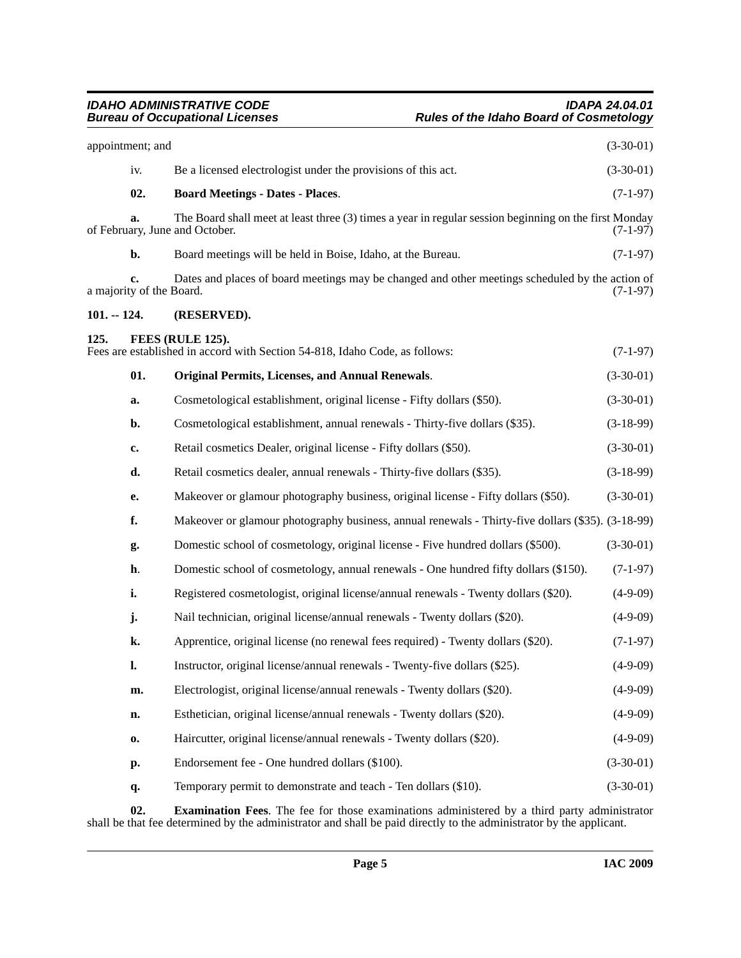<span id="page-4-5"></span><span id="page-4-4"></span><span id="page-4-2"></span><span id="page-4-1"></span><span id="page-4-0"></span>

|               | appointment; and               |                                                                                                                                         | $(3-30-01)$ |
|---------------|--------------------------------|-----------------------------------------------------------------------------------------------------------------------------------------|-------------|
|               | iv.                            | Be a licensed electrologist under the provisions of this act.                                                                           | $(3-30-01)$ |
|               | 02.                            | <b>Board Meetings - Dates - Places.</b>                                                                                                 | $(7-1-97)$  |
|               | a.                             | The Board shall meet at least three (3) times a year in regular session beginning on the first Monday<br>of February, June and October. | (7-1-97)    |
|               | b.                             | Board meetings will be held in Boise, Idaho, at the Bureau.                                                                             | $(7-1-97)$  |
|               | c.<br>a majority of the Board. | Dates and places of board meetings may be changed and other meetings scheduled by the action of                                         | $(7-1-97)$  |
| $101. - 124.$ |                                | (RESERVED).                                                                                                                             |             |
| 125.          |                                | FEES (RULE 125).<br>Fees are established in accord with Section 54-818, Idaho Code, as follows:                                         | $(7-1-97)$  |
|               | 01.                            | <b>Original Permits, Licenses, and Annual Renewals.</b>                                                                                 | $(3-30-01)$ |
|               | a.                             | Cosmetological establishment, original license - Fifty dollars (\$50).                                                                  | $(3-30-01)$ |
|               | b.                             | Cosmetological establishment, annual renewals - Thirty-five dollars (\$35).                                                             | $(3-18-99)$ |
|               | c.                             | Retail cosmetics Dealer, original license - Fifty dollars (\$50).                                                                       | $(3-30-01)$ |
|               | d.                             | Retail cosmetics dealer, annual renewals - Thirty-five dollars (\$35).                                                                  | $(3-18-99)$ |
|               | е.                             | Makeover or glamour photography business, original license - Fifty dollars (\$50).                                                      | $(3-30-01)$ |
|               | f.                             | Makeover or glamour photography business, annual renewals - Thirty-five dollars (\$35). (3-18-99)                                       |             |
|               | g.                             | Domestic school of cosmetology, original license - Five hundred dollars (\$500).                                                        | $(3-30-01)$ |
|               | h.                             | Domestic school of cosmetology, annual renewals - One hundred fifty dollars (\$150).                                                    | $(7-1-97)$  |
|               | i.                             | Registered cosmetologist, original license/annual renewals - Twenty dollars (\$20).                                                     | $(4-9-09)$  |
|               | j.                             | Nail technician, original license/annual renewals - Twenty dollars (\$20).                                                              | $(4-9-09)$  |
|               | k.                             | Apprentice, original license (no renewal fees required) - Twenty dollars (\$20).                                                        | $(7-1-97)$  |
|               | l.                             | Instructor, original license/annual renewals - Twenty-five dollars (\$25).                                                              | $(4-9-09)$  |
|               | m.                             | Electrologist, original license/annual renewals - Twenty dollars (\$20).                                                                | $(4-9-09)$  |
|               | n.                             | Esthetician, original license/annual renewals - Twenty dollars (\$20).                                                                  | $(4-9-09)$  |
|               | 0.                             | Haircutter, original license/annual renewals - Twenty dollars (\$20).                                                                   | $(4-9-09)$  |
|               | р.                             | Endorsement fee - One hundred dollars (\$100).                                                                                          | $(3-30-01)$ |
|               | q.                             | Temporary permit to demonstrate and teach - Ten dollars (\$10).                                                                         | $(3-30-01)$ |
|               | ΛΛ                             |                                                                                                                                         |             |

<span id="page-4-3"></span>**02. Examination Fees**. The fee for those examinations administered by a third party administrator shall be that fee determined by the administrator and shall be paid directly to the administrator by the applicant.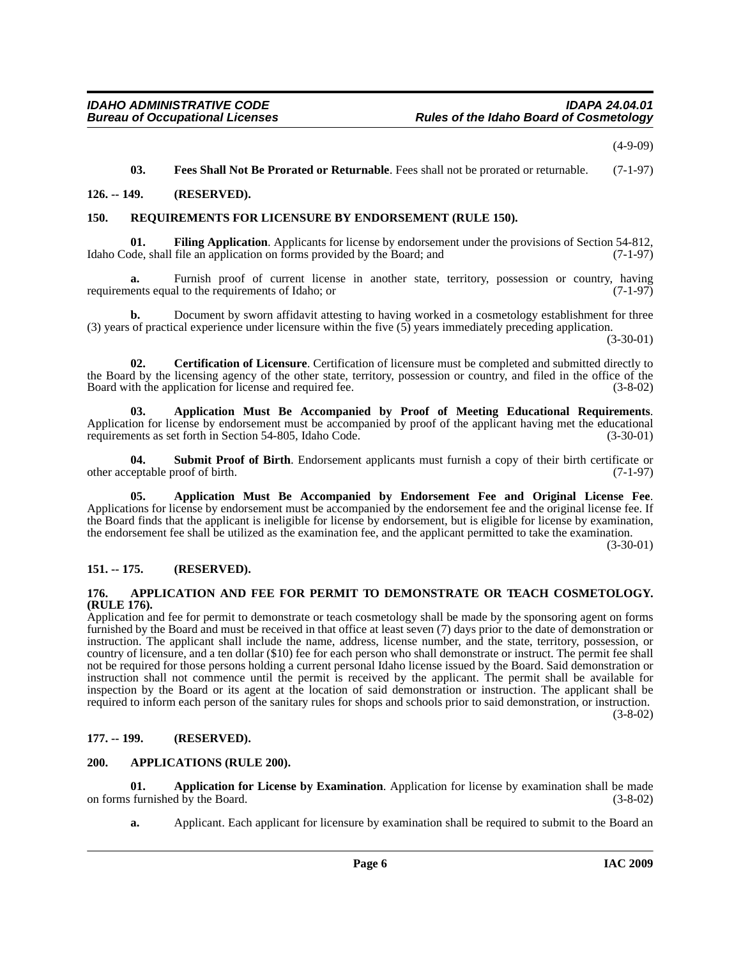(4-9-09)

#### <span id="page-5-14"></span><span id="page-5-13"></span><span id="page-5-12"></span>**03. Fees Shall Not Be Prorated or Returnable**. Fees shall not be prorated or returnable. (7-1-97)

#### <span id="page-5-0"></span>**126. -- 149. (RESERVED).**

#### <span id="page-5-1"></span>**150. REQUIREMENTS FOR LICENSURE BY ENDORSEMENT (RULE 150).**

**01. Filing Application**. Applicants for license by endorsement under the provisions of Section 54-812, Idaho Code, shall file an application on forms provided by the Board; and (7-1-97)

**a.** Furnish proof of current license in another state, territory, possession or country, having ents equal to the requirements of Idaho: or requirements equal to the requirements of Idaho; or

**b.** Document by sworn affidavit attesting to having worked in a cosmetology establishment for three (3) years of practical experience under licensure within the five (5) years immediately preceding application.

(3-30-01)

<span id="page-5-11"></span>**02. Certification of Licensure**. Certification of licensure must be completed and submitted directly to the Board by the licensing agency of the other state, territory, possession or country, and filed in the office of the Board with the application for license and required fee. (3-8-02)

<span id="page-5-9"></span>**03.** Application Must Be Accompanied by Proof of Meeting Educational Requirements. Application for license by endorsement must be accompanied by proof of the applicant having met the educational requirements as set forth in Section 54-805, Idaho Code. (3-30-01)

<span id="page-5-15"></span>**04.** Submit Proof of Birth. Endorsement applicants must furnish a copy of their birth certificate or eptable proof of birth. (7-1-97) other acceptable proof of birth.

<span id="page-5-8"></span>**05. Application Must Be Accompanied by Endorsement Fee and Original License Fee**. Applications for license by endorsement must be accompanied by the endorsement fee and the original license fee. If the Board finds that the applicant is ineligible for license by endorsement, but is eligible for license by examination, the endorsement fee shall be utilized as the examination fee, and the applicant permitted to take the examination.

(3-30-01)

#### <span id="page-5-2"></span>**151. -- 175. (RESERVED).**

#### <span id="page-5-6"></span><span id="page-5-3"></span>**176. APPLICATION AND FEE FOR PERMIT TO DEMONSTRATE OR TEACH COSMETOLOGY. (RULE 176).**

Application and fee for permit to demonstrate or teach cosmetology shall be made by the sponsoring agent on forms furnished by the Board and must be received in that office at least seven (7) days prior to the date of demonstration or instruction. The applicant shall include the name, address, license number, and the state, territory, possession, or country of licensure, and a ten dollar (\$10) fee for each person who shall demonstrate or instruct. The permit fee shall not be required for those persons holding a current personal Idaho license issued by the Board. Said demonstration or instruction shall not commence until the permit is received by the applicant. The permit shall be available for inspection by the Board or its agent at the location of said demonstration or instruction. The applicant shall be required to inform each person of the sanitary rules for shops and schools prior to said demonstration, or instruction.

(3-8-02)

#### <span id="page-5-4"></span>**177. -- 199. (RESERVED).**

#### <span id="page-5-10"></span><span id="page-5-5"></span>**200. APPLICATIONS (RULE 200).**

**01. Application for License by Examination**. Application for license by examination shall be made furnished by the Board. (3-8-02) on forms furnished by the Board.

<span id="page-5-7"></span>**a.** Applicant. Each applicant for licensure by examination shall be required to submit to the Board an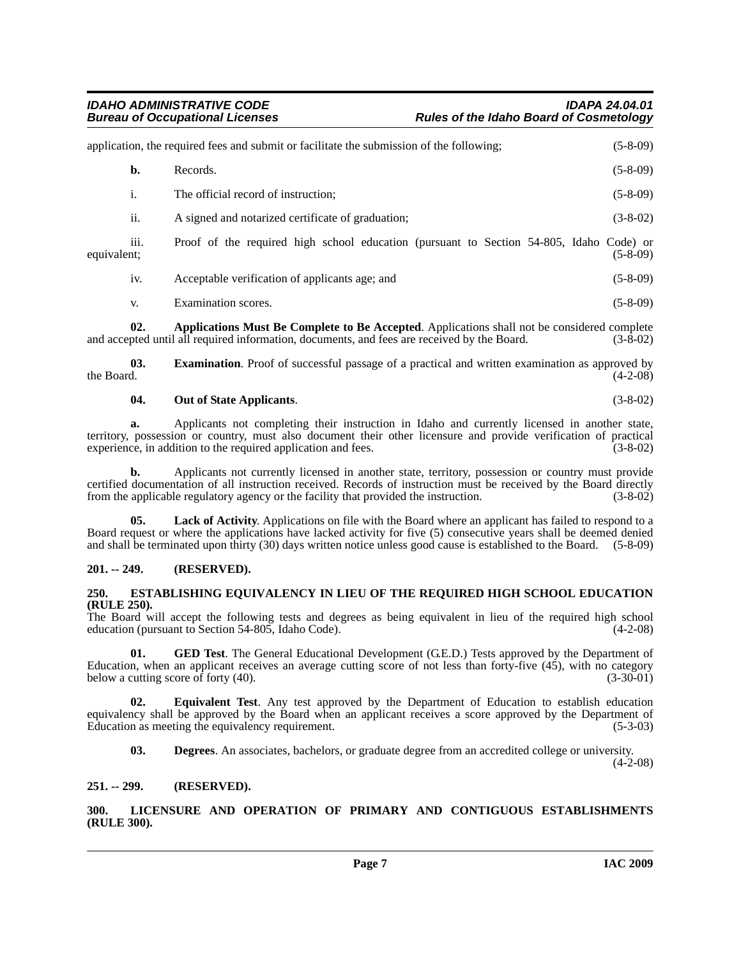|                                 | application, the required fees and submit or facilitate the submission of the following;    |            |  |
|---------------------------------|---------------------------------------------------------------------------------------------|------------|--|
| b.                              | Records.                                                                                    | $(5-8-09)$ |  |
| i.                              | The official record of instruction:                                                         | $(5-8-09)$ |  |
| ii.                             | A signed and notarized certificate of graduation;                                           | $(3-8-02)$ |  |
| $\cdots$<br>111.<br>equivalent: | Proof of the required high school education (pursuant to Section 54-805, Idaho Code) or     | $(5-8-09)$ |  |
| iv.                             | Acceptable verification of applicants age; and                                              | $(5-8-09)$ |  |
| V.                              | Examination scores.                                                                         | $(5-8-09)$ |  |
| 02.                             | Applications Must Be Complete to Be Accepted. Applications shall not be considered complete |            |  |

<span id="page-6-4"></span>and accepted until all required information, documents, and fees are received by the Board. (3-8-02)

**03. Examination**. Proof of successful passage of a practical and written examination as approved by the Board. (4-2-08) the Board.  $(4-2-08)$ 

#### <span id="page-6-11"></span><span id="page-6-8"></span>**04. Out of State Applicants**. (3-8-02)

**a.** Applicants not completing their instruction in Idaho and currently licensed in another state, territory, possession or country, must also document their other licensure and provide verification of practical experience, in addition to the required application and fees.

**b.** Applicants not currently licensed in another state, territory, possession or country must provide certified documentation of all instruction received. Records of instruction must be received by the Board directly from the applicable regulatory agency or the facility that provided the instruction. (3-8-02)

**05. Lack of Activity**. Applications on file with the Board where an applicant has failed to respond to a Board request or where the applications have lacked activity for five (5) consecutive years shall be deemed denied and shall be terminated upon thirty (30) days written notice unless good cause is established to the Board. (5-8-09)

### <span id="page-6-0"></span>**201. -- 249. (RESERVED).**

#### <span id="page-6-7"></span><span id="page-6-1"></span>**250. ESTABLISHING EQUIVALENCY IN LIEU OF THE REQUIRED HIGH SCHOOL EDUCATION (RULE 250).**

The Board will accept the following tests and degrees as being equivalent in lieu of the required high school education (pursuant to Section 54-805, Idaho Code). (4-2-08)

<span id="page-6-9"></span>**01. GED Test**. The General Educational Development (G.E.D.) Tests approved by the Department of Education, when an applicant receives an average cutting score of not less than forty-five (45), with no category below a cutting score of forty (40).  $(3-30-01)$ 

**02. Equivalent Test**. Any test approved by the Department of Education to establish education equivalency shall be approved by the Board when an applicant receives a score approved by the Department of Education as meeting the equivalency requirement. (5-3-03)

<span id="page-6-6"></span><span id="page-6-5"></span>**03. Degrees**. An associates, bachelors, or graduate degree from an accredited college or university.

 $(4-2-08)$ 

#### <span id="page-6-2"></span>**251. -- 299. (RESERVED).**

<span id="page-6-10"></span><span id="page-6-3"></span>**300. LICENSURE AND OPERATION OF PRIMARY AND CONTIGUOUS ESTABLISHMENTS (RULE 300).**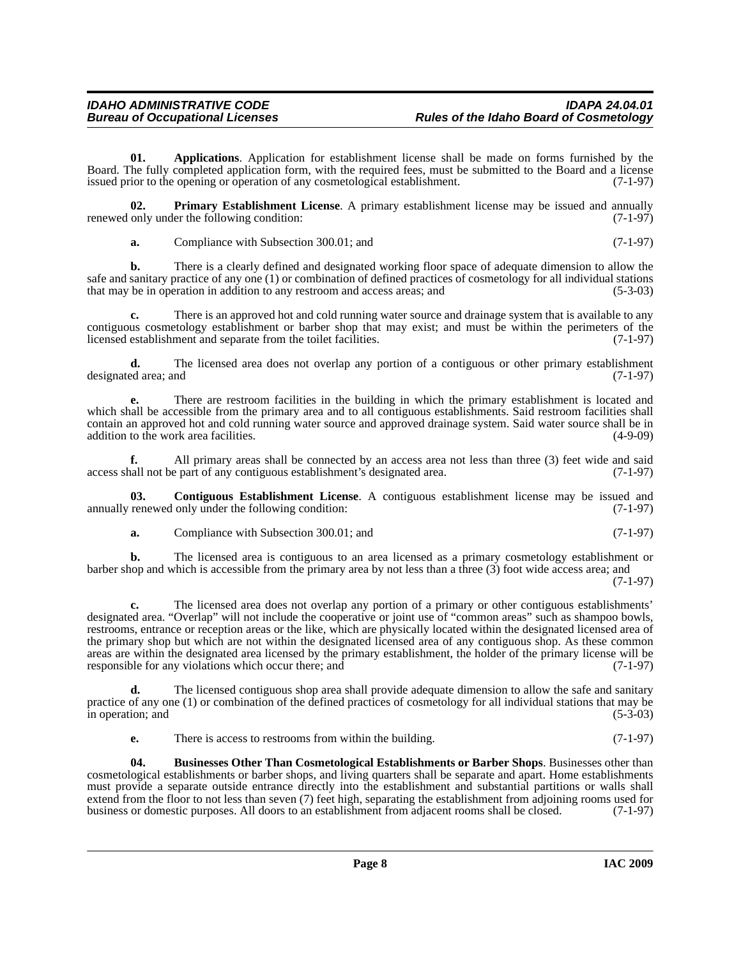<span id="page-7-0"></span>**01. Applications**. Application for establishment license shall be made on forms furnished by the Board. The fully completed application form, with the required fees, must be submitted to the Board and a license issued prior to the opening or operation of any cosmetological establishment. (7-1-97)

**02. Primary Establishment License**. A primary establishment license may be issued and annually only under the following condition: (7-1-97) renewed only under the following condition:

<span id="page-7-3"></span>**a.** Compliance with Subsection 300.01; and (7-1-97)

**b.** There is a clearly defined and designated working floor space of adequate dimension to allow the safe and sanitary practice of any one (1) or combination of defined practices of cosmetology for all individual stations<br>that may be in operation in addition to any restroom and access areas: and (5-3-03) that may be in operation in addition to any restroom and access areas; and

There is an approved hot and cold running water source and drainage system that is available to any contiguous cosmetology establishment or barber shop that may exist; and must be within the perimeters of the licensed establishment and separate from the toilet facilities. (7-1-97) licensed establishment and separate from the toilet facilities.

**d.** The licensed area does not overlap any portion of a contiguous or other primary establishment designated area; and (7-1-97)

**e.** There are restroom facilities in the building in which the primary establishment is located and which shall be accessible from the primary area and to all contiguous establishments. Said restroom facilities shall contain an approved hot and cold running water source and approved drainage system. Said water source shall be in addition to the work area facilities. (4-9-09)

**f.** All primary areas shall be connected by an access area not less than three (3) feet wide and said hall not be part of any contiguous establishment's designated area. (7-1-97) access shall not be part of any contiguous establishment's designated area.

**03.** Contiguous Establishment License. A contiguous establishment license may be issued and renewed only under the following condition: (7-1-97) annually renewed only under the following condition:

<span id="page-7-2"></span>**a.** Compliance with Subsection 300.01; and (7-1-97)

**b.** The licensed area is contiguous to an area licensed as a primary cosmetology establishment or barber shop and which is accessible from the primary area by not less than a three (3) foot wide access area; and

(7-1-97)

**c.** The licensed area does not overlap any portion of a primary or other contiguous establishments' designated area. "Overlap" will not include the cooperative or joint use of "common areas" such as shampoo bowls, restrooms, entrance or reception areas or the like, which are physically located within the designated licensed area of the primary shop but which are not within the designated licensed area of any contiguous shop. As these common areas are within the designated area licensed by the primary establishment, the holder of the primary license will be responsible for any violations which occur there; and (7-1-97)

**d.** The licensed contiguous shop area shall provide adequate dimension to allow the safe and sanitary practice of any one (1) or combination of the defined practices of cosmetology for all individual stations that may be in operation; and (5-3-03)

<span id="page-7-1"></span>**e.** There is access to restrooms from within the building. (7-1-97)

**04. Businesses Other Than Cosmetological Establishments or Barber Shops**. Businesses other than cosmetological establishments or barber shops, and living quarters shall be separate and apart. Home establishments must provide a separate outside entrance directly into the establishment and substantial partitions or walls shall extend from the floor to not less than seven (7) feet high, separating the establishment from adjoining rooms used for business or domestic purposes. All doors to an establishment from adjacent rooms shall be closed. (7-1business or domestic purposes. All doors to an establishment from adjacent rooms shall be closed.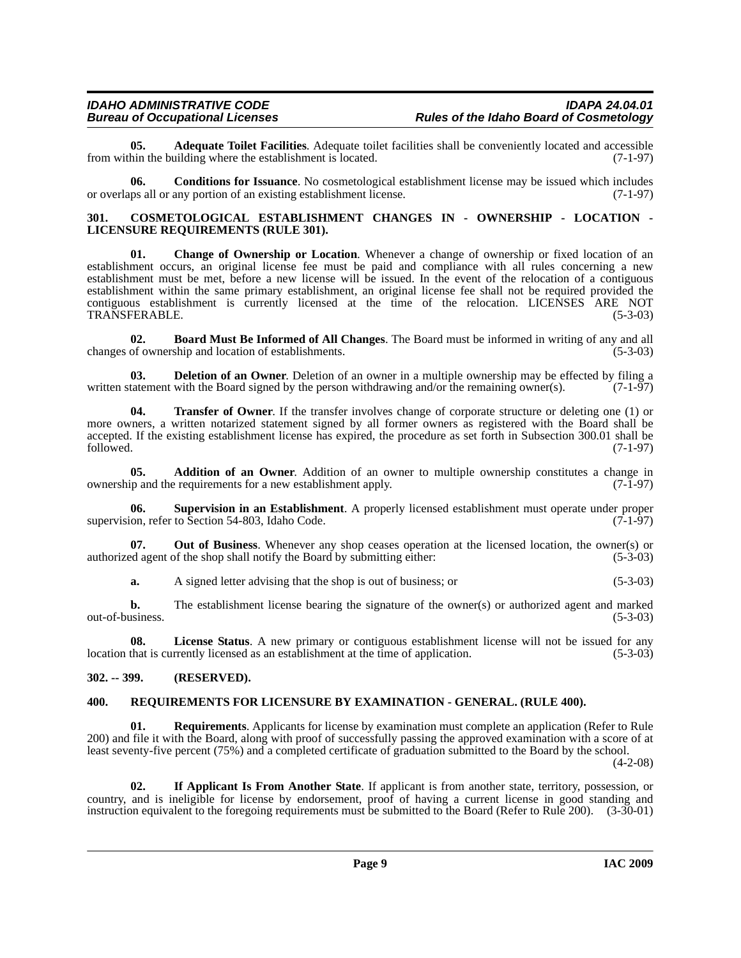<span id="page-8-4"></span>**05. Adequate Toilet Facilities**. Adequate toilet facilities shall be conveniently located and accessible hin the building where the establishment is located. (7-1-97) from within the building where the establishment is located.

<span id="page-8-7"></span>**06. Conditions for Issuance**. No cosmetological establishment license may be issued which includes or overlaps all or any portion of an existing establishment license. (7-1-97)

#### <span id="page-8-8"></span><span id="page-8-0"></span>**301. COSMETOLOGICAL ESTABLISHMENT CHANGES IN - OWNERSHIP - LOCATION - LICENSURE REQUIREMENTS (RULE 301).**

<span id="page-8-6"></span>**01. Change of Ownership or Location**. Whenever a change of ownership or fixed location of an establishment occurs, an original license fee must be paid and compliance with all rules concerning a new establishment must be met, before a new license will be issued. In the event of the relocation of a contiguous establishment within the same primary establishment, an original license fee shall not be required provided the contiguous establishment is currently licensed at the time of the relocation. LICENSES ARE NOT TRANSFERABLE. (5-3-03)

<span id="page-8-5"></span>**02. Board Must Be Informed of All Changes**. The Board must be informed in writing of any and all changes of ownership and location of establishments. (5-3-03)

<span id="page-8-9"></span>**03. Deletion of an Owner**. Deletion of an owner in a multiple ownership may be effected by filing a written statement with the Board signed by the person withdrawing and/or the remaining owner(s). (7-1-97)

<span id="page-8-13"></span>**04. Transfer of Owner**. If the transfer involves change of corporate structure or deleting one (1) or more owners, a written notarized statement signed by all former owners as registered with the Board shall be accepted. If the existing establishment license has expired, the procedure as set forth in Subsection 300.01 shall be followed. (7-1-97)  $f_{\text{followed.}}$  (7-1-97)

<span id="page-8-3"></span>**05. Addition of an Owner**. Addition of an owner to multiple ownership constitutes a change in ownership and the requirements for a new establishment apply. (7-1-97)

<span id="page-8-12"></span>**06. Supervision in an Establishment**. A properly licensed establishment must operate under proper supervision, refer to Section 54-803, Idaho Code. (7-1-97)

**07.** Out of Business. Whenever any shop ceases operation at the licensed location, the owner(s) or ed agent of the shop shall notify the Board by submitting either: (5-3-03) authorized agent of the shop shall notify the Board by submitting either:

**a.** A signed letter advising that the shop is out of business; or (5-3-03)

**b.** The establishment license bearing the signature of the owner(s) or authorized agent and marked usiness. (5-3-03) out-of-business.

**08. License Status**. A new primary or contiguous establishment license will not be issued for any location that is currently licensed as an establishment at the time of application. (5-3-03)

#### <span id="page-8-1"></span>**302. -- 399. (RESERVED).**

#### <span id="page-8-11"></span><span id="page-8-2"></span>**400. REQUIREMENTS FOR LICENSURE BY EXAMINATION - GENERAL. (RULE 400).**

**01. Requirements**. Applicants for license by examination must complete an application (Refer to Rule 200) and file it with the Board, along with proof of successfully passing the approved examination with a score of at least seventy-five percent (75%) and a completed certificate of graduation submitted to the Board by the school.

(4-2-08)

<span id="page-8-10"></span>**02. If Applicant Is From Another State**. If applicant is from another state, territory, possession, or country, and is ineligible for license by endorsement, proof of having a current license in good standing and instruction equivalent to the foregoing requirements must be submitted to the Board (Refer to Rule 200). (3-30-01)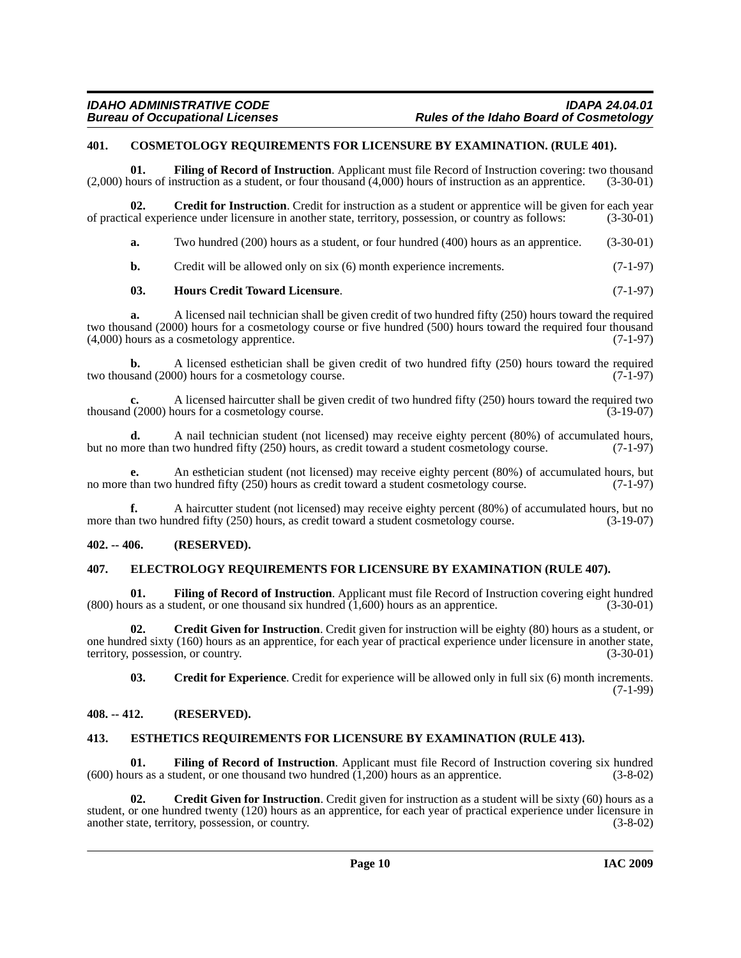#### <span id="page-9-5"></span><span id="page-9-0"></span>**401. COSMETOLOGY REQUIREMENTS FOR LICENSURE BY EXAMINATION. (RULE 401).**

<span id="page-9-12"></span>**01. Filing of Record of Instruction**. Applicant must file Record of Instruction covering: two thousand (2,000) hours of instruction as a student, or four thousand (4,000) hours of instruction as an apprentice. (3-30-01)

**02.** Credit for Instruction. Credit for instruction as a student or apprentice will be given for each year cal experience under licensure in another state, territory, possession, or country as follows: (3-30-01) of practical experience under licensure in another state, territory, possession, or country as follows:

<span id="page-9-7"></span>**a.** Two hundred (200) hours as a student, or four hundred (400) hours as an apprentice. (3-30-01)

<span id="page-9-15"></span>**b.** Credit will be allowed only on six (6) month experience increments. (7-1-97)

#### **03. Hours Credit Toward Licensure**. (7-1-97)

**a.** A licensed nail technician shall be given credit of two hundred fifty (250) hours toward the required two thousand (2000) hours for a cosmetology course or five hundred (500) hours toward the required four thousand (4,000) hours as a cosmetology apprentice.  $(4,000)$  hours as a cosmetology apprentice.

**b.** A licensed esthetician shall be given credit of two hundred fifty (250) hours toward the required sand (2000) hours for a cosmetology course. two thousand (2000) hours for a cosmetology course.

**c.** A licensed haircutter shall be given credit of two hundred fifty (250) hours toward the required two l(2000) hours for a cosmetology course. thousand (2000) hours for a cosmetology course.

**d.** A nail technician student (not licensed) may receive eighty percent (80%) of accumulated hours, ore than two hundred fifty (250) hours, as credit toward a student cosmetology course. (7-1-97) but no more than two hundred fifty (250) hours, as credit toward a student cosmetology course.

**e.** An esthetician student (not licensed) may receive eighty percent (80%) of accumulated hours, but than two hundred fifty (250) hours as credit toward a student cosmetology course. (7-1-97) no more than two hundred fifty (250) hours as credit toward a student cosmetology course.

**f.** A haircutter student (not licensed) may receive eighty percent (80%) of accumulated hours, but no n two hundred fifty (250) hours, as credit toward a student cosmetology course. (3-19-07) more than two hundred fifty (250) hours, as credit toward a student cosmetology course.

#### <span id="page-9-1"></span>**402. -- 406. (RESERVED).**

#### <span id="page-9-10"></span><span id="page-9-2"></span>**407. ELECTROLOGY REQUIREMENTS FOR LICENSURE BY EXAMINATION (RULE 407).**

<span id="page-9-13"></span>**01. Filing of Record of Instruction**. Applicant must file Record of Instruction covering eight hundred  $(800)$  hours as a student, or one thousand six hundred  $(1,600)$  hours as an apprentice.  $(3-30-01)$ 

**02. Credit Given for Instruction**. Credit given for instruction will be eighty (80) hours as a student, or one hundred sixty (160) hours as an apprentice, for each year of practical experience under licensure in another state, territory, possession, or country. (3-30-01)

<span id="page-9-14"></span><span id="page-9-8"></span><span id="page-9-6"></span>**03. Credit for Experience**. Credit for experience will be allowed only in full six (6) month increments. (7-1-99)

#### <span id="page-9-3"></span>**408. -- 412. (RESERVED).**

#### <span id="page-9-11"></span><span id="page-9-4"></span>**413. ESTHETICS REQUIREMENTS FOR LICENSURE BY EXAMINATION (RULE 413).**

**01. Filing of Record of Instruction**. Applicant must file Record of Instruction covering six hundred (using as a student, or one thousand two hundred (1.200) hours as an apprentice. (3-8-02) (600) hours as a student, or one thousand two hundred  $(1,200)$  hours as an apprentice.

<span id="page-9-9"></span>**02.** Credit Given for Instruction. Credit given for instruction as a student will be sixty (60) hours as a student, or one hundred twenty (120) hours as an apprentice, for each year of practical experience under licensure in another state, territory, possession, or country. (3-8-02)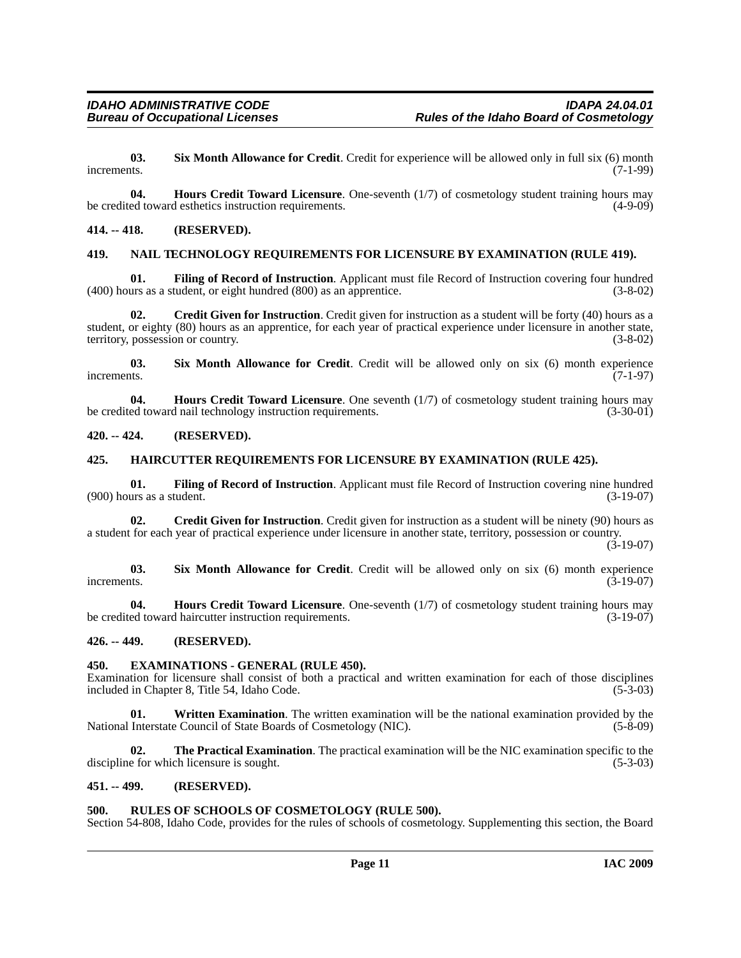<span id="page-10-14"></span>**03. Six Month Allowance for Credit**. Credit for experience will be allowed only in full six (6) month increments. (7-1-99)

**04. Hours Credit Toward Licensure**. One-seventh (1/7) of cosmetology student training hours may be credited toward esthetics instruction requirements. (4-9-09)

#### <span id="page-10-0"></span>**414. -- 418. (RESERVED).**

#### <span id="page-10-12"></span><span id="page-10-1"></span>**419. NAIL TECHNOLOGY REQUIREMENTS FOR LICENSURE BY EXAMINATION (RULE 419).**

<span id="page-10-10"></span>**01.** Filing of Record of Instruction. Applicant must file Record of Instruction covering four hundred (800) as an apprentice. (3-8-02)  $(400)$  hours as a student, or eight hundred  $(800)$  as an apprentice.

<span id="page-10-8"></span>**02. Credit Given for Instruction**. Credit given for instruction as a student will be forty (40) hours as a student, or eighty (80) hours as an apprentice, for each year of practical experience under licensure in another state, territory, possession or country. (3-8-02) territory, possession or country.

<span id="page-10-15"></span>**03.** Six Month Allowance for Credit. Credit will be allowed only on six (6) month experience (7-1-97) increments.  $(7-1-97)$ 

<span id="page-10-11"></span>**04. Hours Credit Toward Licensure**. One seventh (1/7) of cosmetology student training hours may ed toward nail technology instruction requirements. (3-30-01) be credited toward nail technology instruction requirements.

#### <span id="page-10-2"></span>**420. -- 424. (RESERVED).**

#### <span id="page-10-3"></span>**425. HAIRCUTTER REQUIREMENTS FOR LICENSURE BY EXAMINATION (RULE 425).**

**01. Filing of Record of Instruction**. Applicant must file Record of Instruction covering nine hundred  $(900)$  hours as a student.  $(3-19-07)$ 

**02.** Credit Given for Instruction. Credit given for instruction as a student will be ninety (90) hours as a student for each year of practical experience under licensure in another state, territory, possession or country.

 $(3-19-07)$ 

**03.** Six Month Allowance for Credit. Credit will be allowed only on six (6) month experience increments. (3-19-07) increments.  $(3-19-07)$ 

**04. Hours Credit Toward Licensure**. One-seventh (1/7) of cosmetology student training hours may ed toward haircutter instruction requirements. (3-19-07) be credited toward haircutter instruction requirements.

#### <span id="page-10-4"></span>**426. -- 449. (RESERVED).**

#### <span id="page-10-9"></span><span id="page-10-5"></span>**450. EXAMINATIONS - GENERAL (RULE 450).**

Examination for licensure shall consist of both a practical and written examination for each of those disciplines included in Chapter 8. Title 54. Idaho Code. (5-3-03) included in Chapter 8, Title 54, Idaho Code.

<span id="page-10-17"></span>**01. Written Examination**. The written examination will be the national examination provided by the National Interstate Council of State Boards of Cosmetology (NIC). (5-8-09)

<span id="page-10-16"></span>**02. The Practical Examination**. The practical examination will be the NIC examination specific to the discipline for which licensure is sought. (5-3-03)

#### <span id="page-10-6"></span>**451. -- 499. (RESERVED).**

#### <span id="page-10-13"></span><span id="page-10-7"></span>**500. RULES OF SCHOOLS OF COSMETOLOGY (RULE 500).**

Section 54-808, Idaho Code, provides for the rules of schools of cosmetology. Supplementing this section, the Board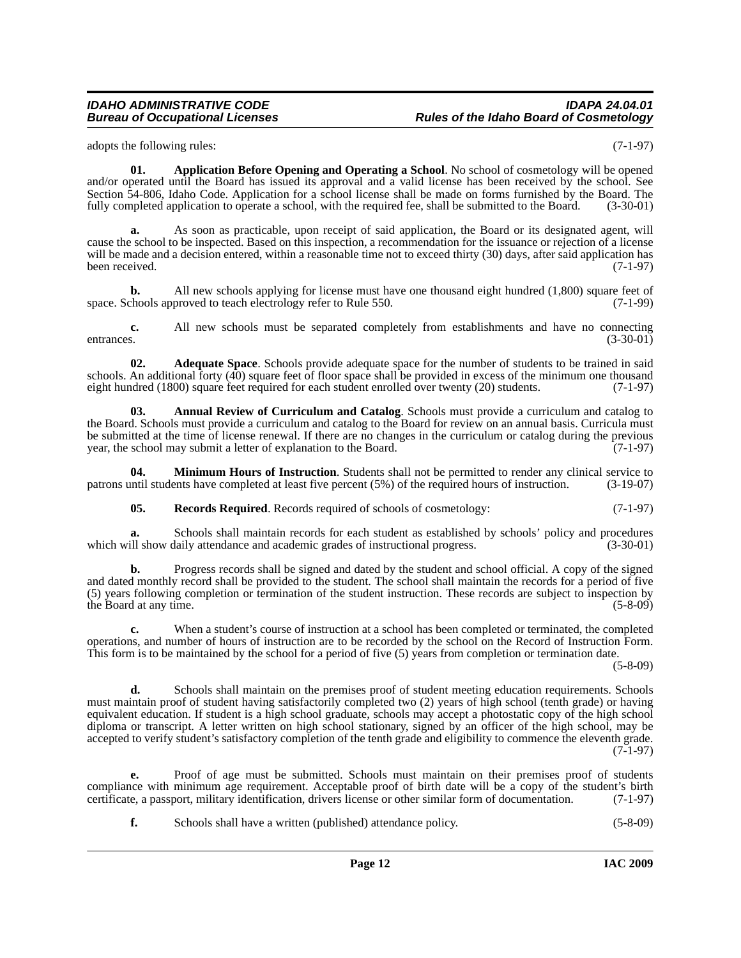#### *IDAHO ADMINISTRATIVE CODE IDAPA 24.04.01* **Rules of the Idaho Board of Cosmetology**

<span id="page-11-2"></span>adopts the following rules: (7-1-97)

**01. Application Before Opening and Operating a School**. No school of cosmetology will be opened and/or operated until the Board has issued its approval and a valid license has been received by the school. See Section 54-806, Idaho Code. Application for a school license shall be made on forms furnished by the Board. The fully completed application to operate a school, with the required fee, shall be submitted to the Board. (3-30-01)

**a.** As soon as practicable, upon receipt of said application, the Board or its designated agent, will cause the school to be inspected. Based on this inspection, a recommendation for the issuance or rejection of a license will be made and a decision entered, within a reasonable time not to exceed thirty (30) days, after said application has been received. (7-1-97) been received.

**b.** All new schools applying for license must have one thousand eight hundred (1,800) square feet of space. Schools approved to teach electrology refer to Rule 550. (7-1-99)

**c.** All new schools must be separated completely from establishments and have no connecting entrances. (3-30-01) entrances. (3-30-01)

<span id="page-11-0"></span>**02. Adequate Space**. Schools provide adequate space for the number of students to be trained in said schools. An additional forty (40) square feet of floor space shall be provided in excess of the minimum one thousand eight hundred (1800) square feet required for each student enrolled over twenty (20) students. (7-1-97)

<span id="page-11-1"></span>**03. Annual Review of Curriculum and Catalog**. Schools must provide a curriculum and catalog to the Board. Schools must provide a curriculum and catalog to the Board for review on an annual basis. Curricula must be submitted at the time of license renewal. If there are no changes in the curriculum or catalog during the previous vear, the school may submit a letter of explanation to the Board. (7-1-97) year, the school may submit a letter of explanation to the Board.

**04. Minimum Hours of Instruction**. Students shall not be permitted to render any clinical service to patrons until students have completed at least five percent (5%) of the required hours of instruction. (3-19-07)

<span id="page-11-4"></span><span id="page-11-3"></span>**05. Records Required**. Records required of schools of cosmetology: (7-1-97)

**a.** Schools shall maintain records for each student as established by schools' policy and procedures ill show daily attendance and academic grades of instructional progress. (3-30-01) which will show daily attendance and academic grades of instructional progress.

**b.** Progress records shall be signed and dated by the student and school official. A copy of the signed and dated monthly record shall be provided to the student. The school shall maintain the records for a period of five (5) years following completion or termination of the student instruction. These records are subject to inspection by the Board at any time. (5-8-09)

**c.** When a student's course of instruction at a school has been completed or terminated, the completed operations, and number of hours of instruction are to be recorded by the school on the Record of Instruction Form. This form is to be maintained by the school for a period of five (5) years from completion or termination date.

(5-8-09)

**d.** Schools shall maintain on the premises proof of student meeting education requirements. Schools must maintain proof of student having satisfactorily completed two (2) years of high school (tenth grade) or having equivalent education. If student is a high school graduate, schools may accept a photostatic copy of the high school diploma or transcript. A letter written on high school stationary, signed by an officer of the high school, may be accepted to verify student's satisfactory completion of the tenth grade and eligibility to commence the eleventh grade. (7-1-97)

**e.** Proof of age must be submitted. Schools must maintain on their premises proof of students compliance with minimum age requirement. Acceptable proof of birth date will be a copy of the student's birth certificate, a passport, military identification, drivers license or other similar form of documentation. (7-1-9 certificate, a passport, military identification, drivers license or other similar form of documentation.

**f.** Schools shall have a written (published) attendance policy. (5-8-09)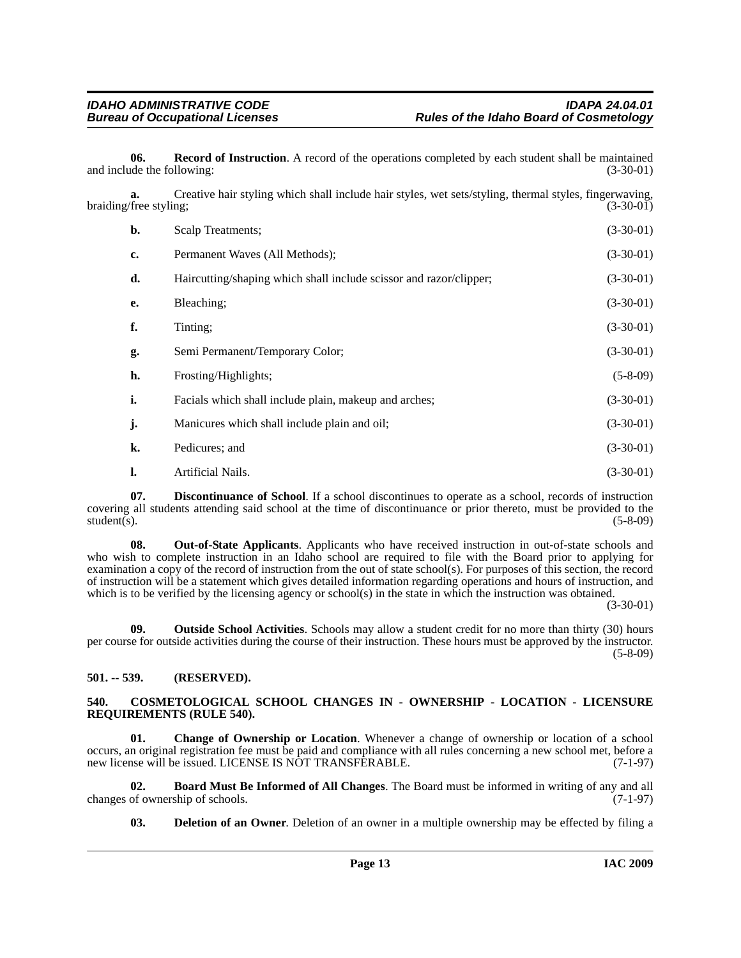<span id="page-12-9"></span>**06. Record of Instruction**. A record of the operations completed by each student shall be maintained and include the following: (3-30-01) (3-30-01)

| a.<br>braiding/free styling; | Creative hair styling which shall include hair styles, wet sets/styling, thermal styles, fingerwaving, | $(3-30-01)$ |
|------------------------------|--------------------------------------------------------------------------------------------------------|-------------|
| b.                           | Scalp Treatments;                                                                                      | $(3-30-01)$ |
| c.                           | Permanent Waves (All Methods);                                                                         | $(3-30-01)$ |
| d.                           | Haircutting/shaping which shall include scissor and razor/clipper;                                     | $(3-30-01)$ |
| е.                           | Bleaching;                                                                                             | $(3-30-01)$ |
| f.                           | Tinting;                                                                                               | $(3-30-01)$ |
| g.                           | Semi Permanent/Temporary Color;                                                                        | $(3-30-01)$ |
| h.                           | Frosting/Highlights;                                                                                   | $(5-8-09)$  |
| i.                           | Facials which shall include plain, makeup and arches;                                                  | $(3-30-01)$ |
| j.                           | Manicures which shall include plain and oil;                                                           | $(3-30-01)$ |
| k.                           | Pedicures; and                                                                                         | $(3-30-01)$ |
| l.                           | Artificial Nails.                                                                                      | $(3-30-01)$ |

<span id="page-12-6"></span>**07. Discontinuance of School**. If a school discontinues to operate as a school, records of instruction covering all students attending said school at the time of discontinuance or prior thereto, must be provided to the student(s). (5-8-09)  $student(s)$ . (5-8-09)

<span id="page-12-7"></span>**08. Out-of-State Applicants**. Applicants who have received instruction in out-of-state schools and who wish to complete instruction in an Idaho school are required to file with the Board prior to applying for examination a copy of the record of instruction from the out of state school(s). For purposes of this section, the record of instruction will be a statement which gives detailed information regarding operations and hours of instruction, and which is to be verified by the licensing agency or school(s) in the state in which the instruction was obtained.

(3-30-01)

<span id="page-12-8"></span>**09. Outside School Activities**. Schools may allow a student credit for no more than thirty (30) hours per course for outside activities during the course of their instruction. These hours must be approved by the instructor. (5-8-09)

### <span id="page-12-0"></span>**501. -- 539. (RESERVED).**

#### <span id="page-12-4"></span><span id="page-12-1"></span>**540. COSMETOLOGICAL SCHOOL CHANGES IN - OWNERSHIP - LOCATION - LICENSURE REQUIREMENTS (RULE 540).**

<span id="page-12-3"></span>**01. Change of Ownership or Location**. Whenever a change of ownership or location of a school occurs, an original registration fee must be paid and compliance with all rules concerning a new school met, before a new license will be issued. LICENSE IS NOT TRANSFERABLE. (7-1-97)

**02. Board Must Be Informed of All Changes**. The Board must be informed in writing of any and all changes of ownership of schools.

<span id="page-12-5"></span><span id="page-12-2"></span>**03. Deletion of an Owner**. Deletion of an owner in a multiple ownership may be effected by filing a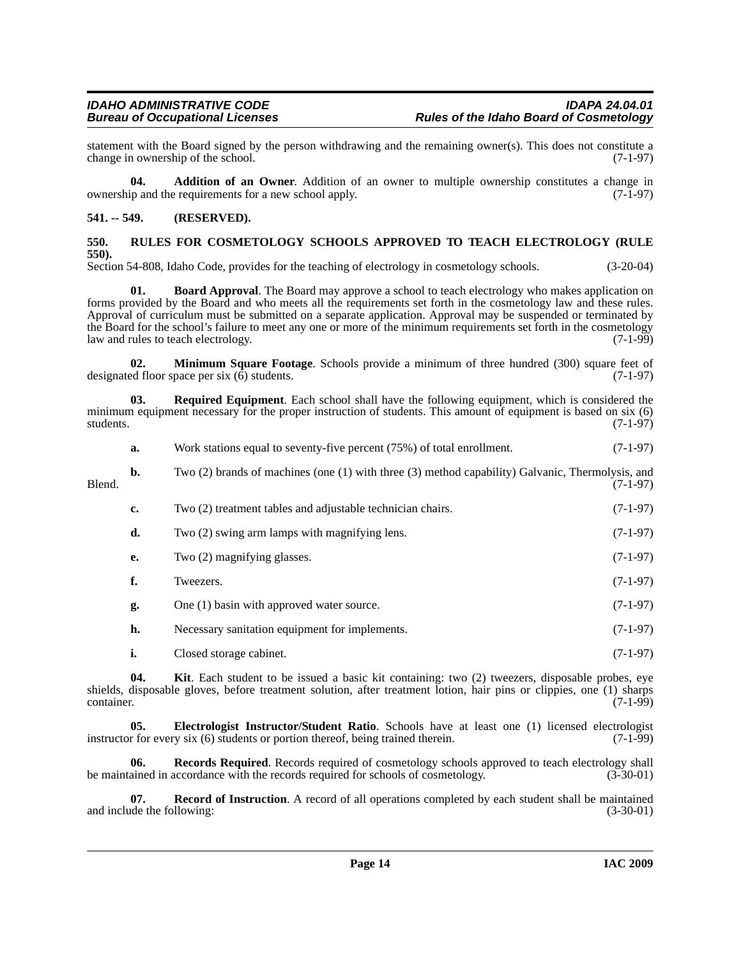statement with the Board signed by the person withdrawing and the remaining owner(s). This does not constitute a change in ownership of the school. (7-1-97) change in ownership of the school.

<span id="page-13-2"></span>**04. Addition of an Owner**. Addition of an owner to multiple ownership constitutes a change in ownership and the requirements for a new school apply. (7-1-97)

#### <span id="page-13-0"></span>**541. -- 549. (RESERVED).**

#### <span id="page-13-10"></span><span id="page-13-1"></span>**550. RULES FOR COSMETOLOGY SCHOOLS APPROVED TO TEACH ELECTROLOGY (RULE 550).**

Section 54-808, Idaho Code, provides for the teaching of electrology in cosmetology schools. (3-20-04)

<span id="page-13-3"></span>**01. Board Approval**. The Board may approve a school to teach electrology who makes application on forms provided by the Board and who meets all the requirements set forth in the cosmetology law and these rules. Approval of curriculum must be submitted on a separate application. Approval may be suspended or terminated by the Board for the school's failure to meet any one or more of the minimum requirements set forth in the cosmetology<br>law and rules to teach electrology. (7-1-99) law and rules to teach electrology.

<span id="page-13-6"></span>**02. Minimum Square Footage**. Schools provide a minimum of three hundred (300) square feet of ed floor space per six (6) students. designated floor space per six  $(\vec{6})$  students.

**03. Required Equipment**. Each school shall have the following equipment, which is considered the minimum equipment necessary for the proper instruction of students. This amount of equipment is based on six (6) students. (7-1-97)

<span id="page-13-9"></span>**a.** Work stations equal to seventy-five percent (75%) of total enrollment. (7-1-97) **b.** Two (2) brands of machines (one (1) with three (3) method capability) Galvanic, Thermolysis, and

Blend. (7-1-97) **c.** Two (2) treatment tables and adjustable technician chairs. (7-1-97) **d.** Two (2) swing arm lamps with magnifying lens. (7-1-97) **e.** Two (2) magnifying glasses. (7-1-97) **f.** Tweezers. (7-1-97) **g.** One (1) basin with approved water source. (7-1-97) **h.** Necessary sanitation equipment for implements. (7-1-97) **i.** Closed storage cabinet. (7-1-97)

<span id="page-13-5"></span>**04. Kit**. Each student to be issued a basic kit containing: two (2) tweezers, disposable probes, eye shields, disposable gloves, before treatment solution, after treatment lotion, hair pins or clippies, one (1) sharps  $\frac{1}{(7-1-99)}$ 

<span id="page-13-4"></span>**05. Electrologist Instructor/Student Ratio**. Schools have at least one (1) licensed electrologist r for every six (6) students or portion thereof, being trained therein. (7-1-99) instructor for every six  $(6)$  students or portion thereof, being trained therein.

<span id="page-13-8"></span>**06. Records Required**. Records required of cosmetology schools approved to teach electrology shall be maintained in accordance with the records required for schools of cosmetology. (3-30-01)

<span id="page-13-7"></span>**07. Record of Instruction**. A record of all operations completed by each student shall be maintained de the following: (3-30-01) and include the following: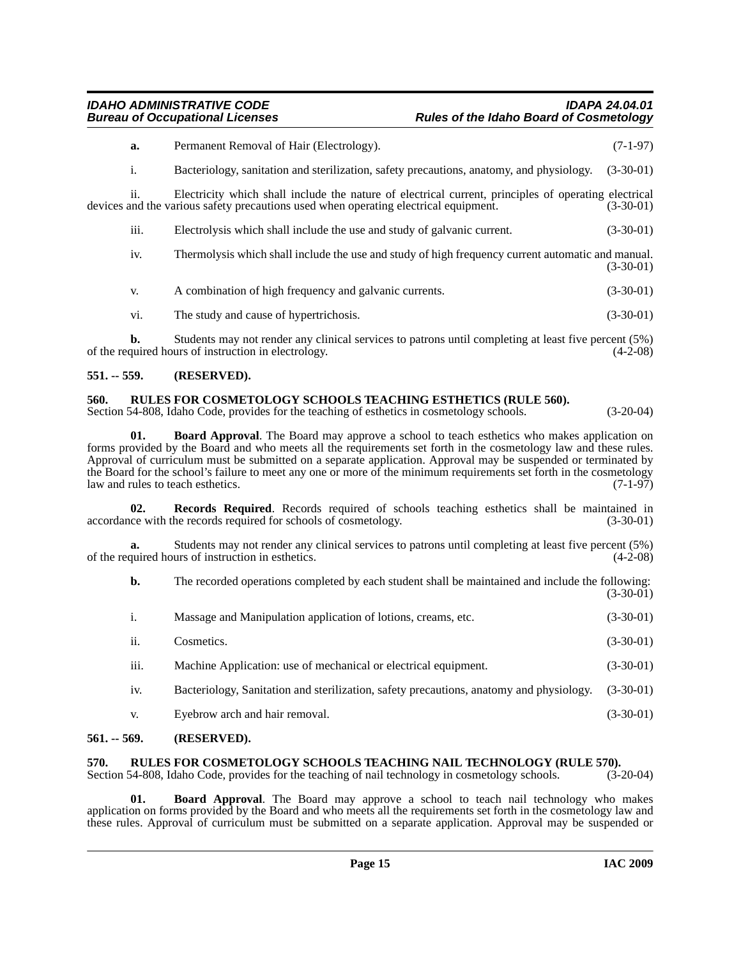#### *IDAHO ADMINISTRATIVE CODE IDAPA 24.04.01* **Rules of the Idaho Board of Cosmetology**

|  | a.   | Permanent Removal of Hair (Electrology).                                                                                                                                                     | $(7-1-97)$  |
|--|------|----------------------------------------------------------------------------------------------------------------------------------------------------------------------------------------------|-------------|
|  | i.   | Bacteriology, sanitation and sterilization, safety precautions, anatomy, and physiology.                                                                                                     | $(3-30-01)$ |
|  | 11.  | Electricity which shall include the nature of electrical current, principles of operating electrical<br>devices and the various safety precautions used when operating electrical equipment. | $(3-30-01)$ |
|  | iii. | Electrolysis which shall include the use and study of galvanic current.                                                                                                                      | $(3-30-01)$ |
|  | iv.  | Thermolysis which shall include the use and study of high frequency current automatic and manual.                                                                                            | $(3-30-01)$ |
|  | V.   | A combination of high frequency and galvanic currents.                                                                                                                                       | $(3-30-01)$ |
|  | V1.  | The study and cause of hypertrichosis.                                                                                                                                                       | $(3-30-01)$ |
|  |      |                                                                                                                                                                                              |             |

**b.** Students may not render any clinical services to patrons until completing at least five percent (5%) of the required hours of instruction in electrology. (4-2-08)

#### <span id="page-14-0"></span>**551. -- 559. (RESERVED).**

### <span id="page-14-7"></span><span id="page-14-1"></span>**560. RULES FOR COSMETOLOGY SCHOOLS TEACHING ESTHETICS (RULE 560).**

Section 54-808, Idaho Code, provides for the teaching of esthetics in cosmetology schools. (3-20-04)

<span id="page-14-4"></span>**01. Board Approval**. The Board may approve a school to teach esthetics who makes application on forms provided by the Board and who meets all the requirements set forth in the cosmetology law and these rules. Approval of curriculum must be submitted on a separate application. Approval may be suspended or terminated by the Board for the school's failure to meet any one or more of the minimum requirements set forth in the cosmetology<br>law and rules to teach esthetics. (7-1-97) law and rules to teach esthetics.

<span id="page-14-6"></span>**02. Records Required**. Records required of schools teaching esthetics shall be maintained in accordance with the records required for schools of cosmetology. (3-30-01)

**a.** Students may not render any clinical services to patrons until completing at least five percent (5%) quired hours of instruction in esthetics. (4-2-08) of the required hours of instruction in esthetics.

**b.** The recorded operations completed by each student shall be maintained and include the following: (3-30-01)

|                 | Massage and Manipulation application of lotions, creams, etc.                           | $(3-30-01)$ |
|-----------------|-----------------------------------------------------------------------------------------|-------------|
| ii.             | Cosmetics.                                                                              | $(3-30-01)$ |
| iii.            | Machine Application: use of mechanical or electrical equipment.                         | $(3-30-01)$ |
| 1V <sub>1</sub> | Bacteriology, Sanitation and sterilization, safety precautions, anatomy and physiology. | $(3-30-01)$ |
| V.              | Eyebrow arch and hair removal.                                                          | $(3-30-01)$ |

#### <span id="page-14-2"></span>**561. -- 569. (RESERVED).**

## <span id="page-14-8"></span><span id="page-14-3"></span>**570.** RULES FOR COSMETOLOGY SCHOOLS TEACHING NAIL TECHNOLOGY (RULE 570).<br>Section 54-808. Idaho Code. provides for the teaching of nail technology in cosmetology schools. (3-20-04)

Section 54-808, Idaho Code, provides for the teaching of nail technology in cosmetology schools.

<span id="page-14-5"></span>**01. Board Approval**. The Board may approve a school to teach nail technology who makes application on forms provided by the Board and who meets all the requirements set forth in the cosmetology law and these rules. Approval of curriculum must be submitted on a separate application. Approval may be suspended or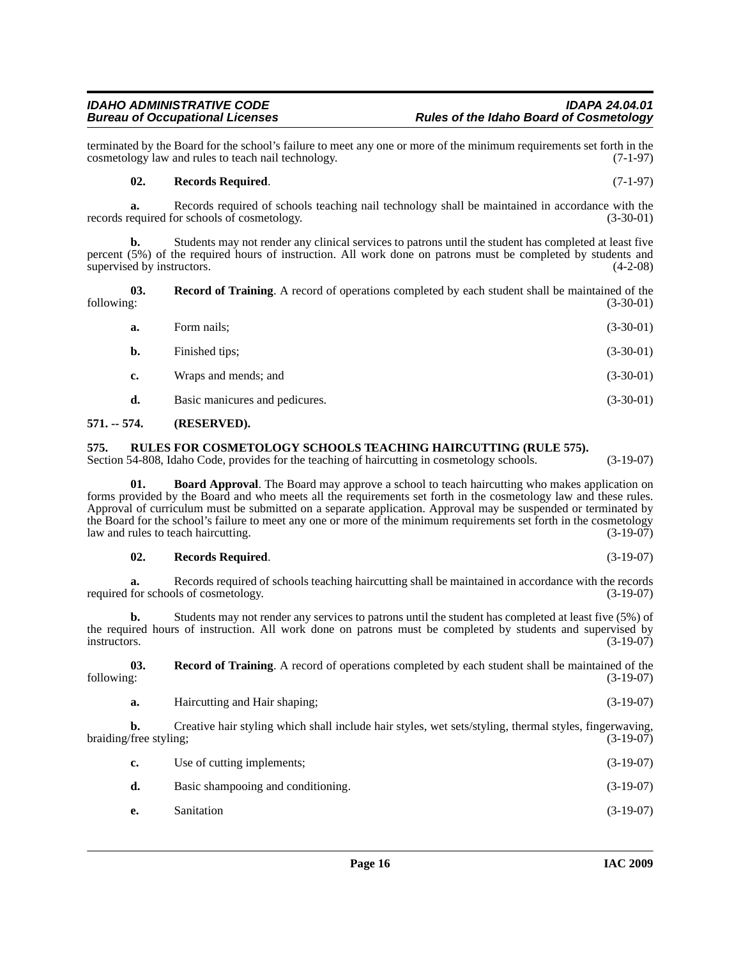# **a.** Form nails; (3-30-01)

cosmetology law and rules to teach nail technology.

records required for schools of cosmetology.

**b.** Finished tips; (3-30-01) **c.** Wraps and mends; and (3-30-01) **d.** Basic manicures and pedicures. (3-30-01)

terminated by the Board for the school's failure to meet any one or more of the minimum requirements set forth in the cosmetology law and rules to teach nail technology.

percent (5%) of the required hours of instruction. All work done on patrons must be completed by students and supervised by instructors. (4-2-08)

**03.** Record of Training. A record of operations completed by each student shall be maintained of the following: (3-30-01) following: (3-30-01)

**a.** Records required of schools teaching nail technology shall be maintained in accordance with the equired for schools of cosmetology. (3-30-01)

<span id="page-15-2"></span>**b.** Students may not render any clinical services to patrons until the student has completed at least five

### <span id="page-15-0"></span>**571. -- 574. (RESERVED).**

supervised by instructors.

### <span id="page-15-1"></span>**575. RULES FOR COSMETOLOGY SCHOOLS TEACHING HAIRCUTTING (RULE 575).**

Section 54-808, Idaho Code, provides for the teaching of haircutting in cosmetology schools. (3-19-07)

**01. Board Approval**. The Board may approve a school to teach haircutting who makes application on forms provided by the Board and who meets all the requirements set forth in the cosmetology law and these rules. Approval of curriculum must be submitted on a separate application. Approval may be suspended or terminated by the Board for the school's failure to meet any one or more of the minimum requirements set forth in the cosmetology law and rules to teach haircutting. (3-19-07)

### **02. Records Required**. (3-19-07)

**a.** Records required of schools teaching haircutting shall be maintained in accordance with the records required for schools of cosmetology. (3-19-07)

**b.** Students may not render any services to patrons until the student has completed at least five (5%) of the required hours of instruction. All work done on patrons must be completed by students and supervised by instructors. (3-19-07)

**03.** Record of Training. A record of operations completed by each student shall be maintained of the following: (3-19-07) following: (3-19-07)

**a.** Haircutting and Hair shaping; (3-19-07)

**b.** Creative hair styling which shall include hair styles, wet sets/styling, thermal styles, fingerwaving, (3-19-07) (free styling; braiding/free styling;

| c. | Use of cutting implements;         | $(3-19-07)$ |
|----|------------------------------------|-------------|
| d. | Basic shampooing and conditioning. | $(3-19-07)$ |
|    | $\mathbf{S}$ on the strong         | (2, 10, 07) |

**e.** Sanitation (3-19-07)

<span id="page-15-3"></span>**02. Records Required**. (7-1-97)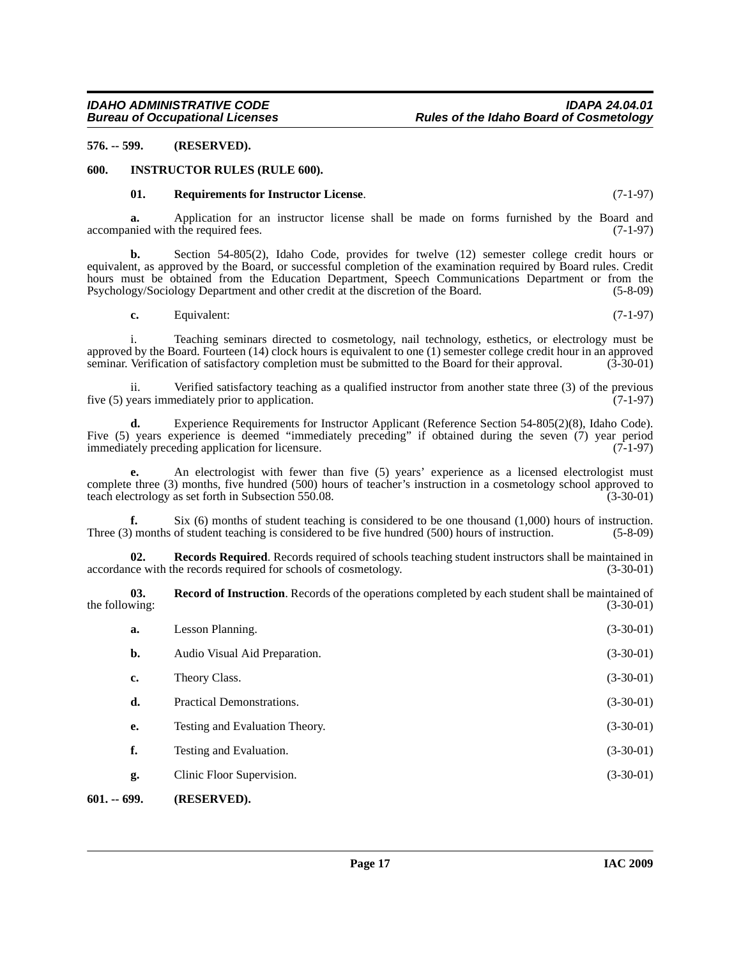<span id="page-16-0"></span>**576. -- 599. (RESERVED).**

#### <span id="page-16-1"></span>**600. INSTRUCTOR RULES (RULE 600).**

#### <span id="page-16-5"></span><span id="page-16-3"></span>**01. Requirements for Instructor License**. (7-1-97)

**a.** Application for an instructor license shall be made on forms furnished by the Board and nied with the required fees. (7-1-97) accompanied with the required fees.

**b.** Section 54-805(2), Idaho Code, provides for twelve (12) semester college credit hours or equivalent, as approved by the Board, or successful completion of the examination required by Board rules. Credit hours must be obtained from the Education Department, Speech Communications Department or from the Psychology/Sociology Department and other credit at the discretion of the Board. (5-8-09) Psychology/Sociology Department and other credit at the discretion of the Board.

**c.** Equivalent: (7-1-97)

i. Teaching seminars directed to cosmetology, nail technology, esthetics, or electrology must be approved by the Board. Fourteen (14) clock hours is equivalent to one (1) semester college credit hour in an approved seminar. Verification of satisfactory completion must be submitted to the Board for their approval. (3-30-01)

ii. Verified satisfactory teaching as a qualified instructor from another state three (3) of the previous vears immediately prior to application. five  $(5)$  years immediately prior to application.

**d.** Experience Requirements for Instructor Applicant (Reference Section 54-805(2)(8), Idaho Code). Five (5) years experience is deemed "immediately preceding" if obtained during the seven (7) year period immediately preceding application for licensure. immediately preceding application for licensure.

An electrologist with fewer than five (5) years' experience as a licensed electrologist must complete three (3) months, five hundred (500) hours of teacher's instruction in a cosmetology school approved to teach electrology as set forth in Subsection 550.08. (3-30-01)

**f.** Six (6) months of student teaching is considered to be one thousand (1,000) hours of instruction. Three (3) months of student teaching is considered to be five hundred (500) hours of instruction. (5-8-09)

**02. Records Required**. Records required of schools teaching student instructors shall be maintained in (3-30-01) (3-30-01) accordance with the records required for schools of cosmetology.

<span id="page-16-4"></span>**03. Record of Instruction**. Records of the operations completed by each student shall be maintained of the following:  $(3-30-01)$ 

<span id="page-16-2"></span>

| $601. - 699.$ | (RESERVED).                    |             |
|---------------|--------------------------------|-------------|
| g.            | Clinic Floor Supervision.      | $(3-30-01)$ |
| f.            | Testing and Evaluation.        | $(3-30-01)$ |
| e.            | Testing and Evaluation Theory. | $(3-30-01)$ |
| d.            | Practical Demonstrations.      | $(3-30-01)$ |
| c.            | Theory Class.                  | $(3-30-01)$ |
| b.            | Audio Visual Aid Preparation.  | $(3-30-01)$ |
| a.            | Lesson Planning.               | $(3-30-01)$ |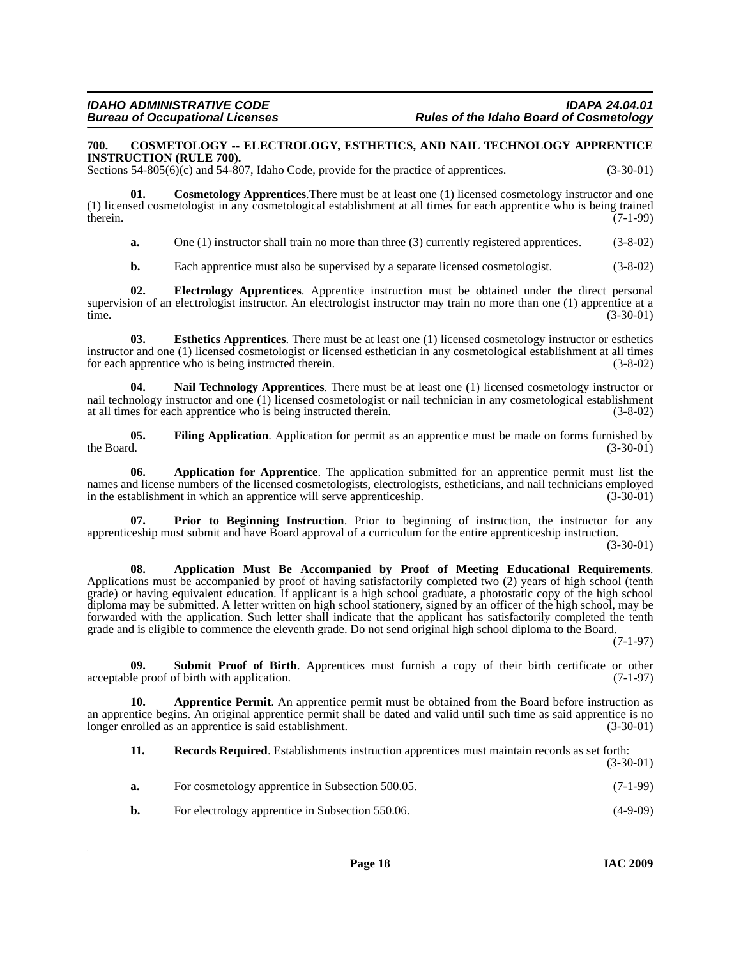#### <span id="page-17-4"></span><span id="page-17-0"></span>**700. COSMETOLOGY -- ELECTROLOGY, ESTHETICS, AND NAIL TECHNOLOGY APPRENTICE INSTRUCTION (RULE 700).**

Sections 54-805(6)(c) and 54-807, Idaho Code, provide for the practice of apprentices. (3-30-01)

**01. Cosmetology Apprentices**.There must be at least one (1) licensed cosmetology instructor and one (1) licensed cosmetologist in any cosmetological establishment at all times for each apprentice who is being trained therein. (7-1-99)

<span id="page-17-5"></span>**a.** One (1) instructor shall train no more than three (3) currently registered apprentices. (3-8-02)

<span id="page-17-7"></span><span id="page-17-6"></span>**b.** Each apprentice must also be supervised by a separate licensed cosmetologist. (3-8-02)

**02. Electrology Apprentices**. Apprentice instruction must be obtained under the direct personal supervision of an electrologist instructor. An electrologist instructor may train no more than one (1) apprentice at a time. (3-30-01)

**03. Esthetics Apprentices**. There must be at least one (1) licensed cosmetology instructor or esthetics instructor and one (1) licensed cosmetologist or licensed esthetician in any cosmetological establishment at all times for each apprentice who is being instructed therein. (3-8-02)

<span id="page-17-9"></span>**04. Nail Technology Apprentices**. There must be at least one (1) licensed cosmetology instructor or nail technology instructor and one (1) licensed cosmetologist or nail technician in any cosmetological establishment at all times for each apprentice who is being instructed therein.  $(3-8-02)$ at all times for each apprentice who is being instructed therein.

<span id="page-17-8"></span>**05.** Filing Application. Application for permit as an apprentice must be made on forms furnished by the Board. (3-30-01) the Board.  $(3-30-01)$ 

<span id="page-17-1"></span>**06. Application for Apprentice**. The application submitted for an apprentice permit must list the names and license numbers of the licensed cosmetologists, electrologists, estheticians, and nail technicians employed in the establishment in which an apprentice will serve apprenticeship. (3-30-01)

<span id="page-17-10"></span>**07. Prior to Beginning Instruction**. Prior to beginning of instruction, the instructor for any apprenticeship must submit and have Board approval of a curriculum for the entire apprenticeship instruction.

(3-30-01)

<span id="page-17-2"></span>**08. Application Must Be Accompanied by Proof of Meeting Educational Requirements**. Applications must be accompanied by proof of having satisfactorily completed two (2) years of high school (tenth grade) or having equivalent education. If applicant is a high school graduate, a photostatic copy of the high school diploma may be submitted. A letter written on high school stationery, signed by an officer of the high school, may be forwarded with the application. Such letter shall indicate that the applicant has satisfactorily completed the tenth grade and is eligible to commence the eleventh grade. Do not send original high school diploma to the Board.

(7-1-97)

<span id="page-17-12"></span>**09. Submit Proof of Birth**. Apprentices must furnish a copy of their birth certificate or other acceptable proof of birth with application. (7-1-97)

**10. Apprentice Permit**. An apprentice permit must be obtained from the Board before instruction as an apprentice begins. An original apprentice permit shall be dated and valid until such time as said apprentice is no longer enrolled as an apprentice is said establishment. (3-30-01)

<span id="page-17-11"></span><span id="page-17-3"></span>**11. Records Required**. Establishments instruction apprentices must maintain records as set forth: (3-30-01)

- **a.** For cosmetology apprentice in Subsection 500.05. (7-1-99)
- **b.** For electrology apprentice in Subsection 550.06. (4-9-09)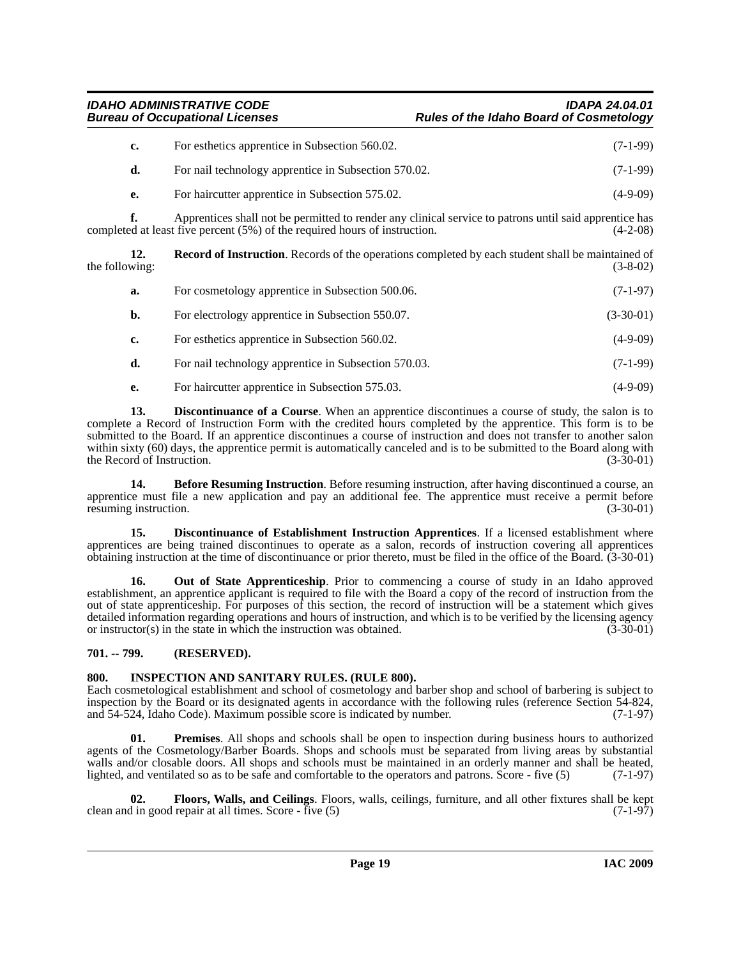### *IDAHO ADMINISTRATIVE CODE IDAPA 24.04.01* **Rules of the Idaho Board of Cosmetology**

| For esthetics apprentice in Subsection 560.02.       | $(7-1-99)$ |
|------------------------------------------------------|------------|
| For nail technology apprentice in Subsection 570.02. | $(7-1-99)$ |
| For haircutter apprentice in Subsection 575.02.      | $(4-9-09)$ |

**f.** Apprentices shall not be permitted to render any clinical service to patrons until said apprentice has ed at least five percent (5%) of the required hours of instruction. (4-2-08) completed at least five percent  $(5%)$  of the required hours of instruction.

**12. Record of Instruction**. Records of the operations completed by each student shall be maintained of the following:  $(3-8-02)$ 

<span id="page-18-9"></span>

| а. | For cosmetology apprentice in Subsection 500.06.     | $(7-1-97)$  |
|----|------------------------------------------------------|-------------|
| b. | For electrology apprentice in Subsection 550.07.     | $(3-30-01)$ |
| c. | For esthetics apprentice in Subsection 560.02.       | $(4-9-09)$  |
| d. | For nail technology apprentice in Subsection 570.03. | $(7-1-99)$  |
|    |                                                      |             |

<span id="page-18-3"></span>**e.** For haircutter apprentice in Subsection 575.03. (4-9-09)

**13. Discontinuance of a Course**. When an apprentice discontinues a course of study, the salon is to complete a Record of Instruction Form with the credited hours completed by the apprentice. This form is to be submitted to the Board. If an apprentice discontinues a course of instruction and does not transfer to another salon within sixty (60) days, the apprentice permit is automatically canceled and is to be submitted to the Board along with the Record of Instruction. (3-30-01) (3-30-01)

<span id="page-18-2"></span>**14. Before Resuming Instruction**. Before resuming instruction, after having discontinued a course, an apprentice must file a new application and pay an additional fee. The apprentice must receive a permit before resuming instruction. (3-30-01) resuming instruction.

<span id="page-18-4"></span>**15. Discontinuance of Establishment Instruction Apprentices**. If a licensed establishment where apprentices are being trained discontinues to operate as a salon, records of instruction covering all apprentices obtaining instruction at the time of discontinuance or prior thereto, must be filed in the office of the Board. (3-30-01)

<span id="page-18-7"></span>**16. Out of State Apprenticeship**. Prior to commencing a course of study in an Idaho approved establishment, an apprentice applicant is required to file with the Board a copy of the record of instruction from the out of state apprenticeship. For purposes of this section, the record of instruction will be a statement which gives detailed information regarding operations and hours of instruction, and which is to be verified by the licensing agency<br>or instructor(s) in the state in which the instruction was obtained. or instructor $(s)$  in the state in which the instruction was obtained.

### <span id="page-18-0"></span>**701. -- 799. (RESERVED).**

### <span id="page-18-6"></span><span id="page-18-1"></span>**800. INSPECTION AND SANITARY RULES. (RULE 800).**

Each cosmetological establishment and school of cosmetology and barber shop and school of barbering is subject to inspection by the Board or its designated agents in accordance with the following rules (reference Section 54-824, and 54-524, Idaho Code). Maximum possible score is indicated by number. (7-1-97)

<span id="page-18-8"></span>**01. Premises**. All shops and schools shall be open to inspection during business hours to authorized agents of the Cosmetology/Barber Boards. Shops and schools must be separated from living areas by substantial walls and/or closable doors. All shops and schools must be maintained in an orderly manner and shall be heated, lighted, and ventilated so as to be safe and comfortable to the operators and patrons. Score - five (5) (7-1-97)

<span id="page-18-5"></span>**02.** Floors, Walls, and Ceilings. Floors, walls, ceilings, furniture, and all other fixtures shall be kept in good repair at all times. Score - five (5) clean and in good repair at all times. Score - five  $(5)$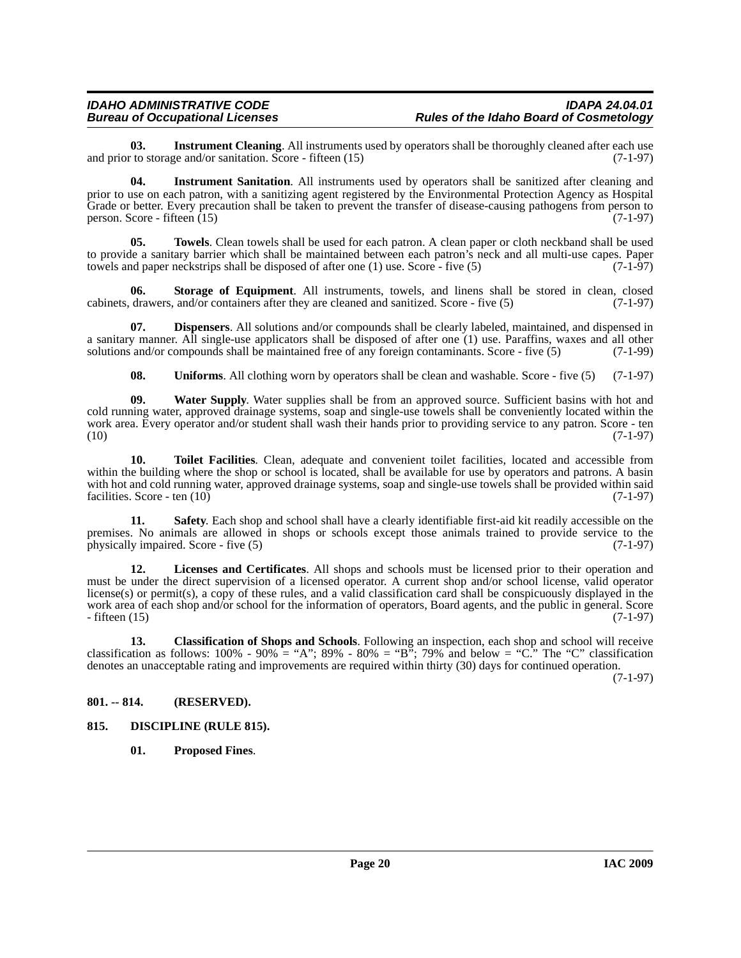# *IDAHO ADMINISTRATIVE CODE IDAPA 24.04.01*

<span id="page-19-5"></span>**03.** Instrument Cleaning. All instruments used by operators shall be thoroughly cleaned after each use to storage and/or sanitation. Score - fifteen (15) and prior to storage and/or sanitation. Score - fifteen  $(15)$ 

<span id="page-19-6"></span>**04. Instrument Sanitation**. All instruments used by operators shall be sanitized after cleaning and prior to use on each patron, with a sanitizing agent registered by the Environmental Protection Agency as Hospital Grade or better. Every precaution shall be taken to prevent the transfer of disease-causing pathogens from person to person. Score - fifteen (15) (7-1-97) person. Score - fifteen  $(15)$ 

<span id="page-19-12"></span>**05. Towels**. Clean towels shall be used for each patron. A clean paper or cloth neckband shall be used to provide a sanitary barrier which shall be maintained between each patron's neck and all multi-use capes. Paper towels and paper neckstrips shall be disposed of after one  $(1)$  use. Score - five  $(5)$  (7-1-97)

<span id="page-19-10"></span>**06. Storage of Equipment**. All instruments, towels, and linens shall be stored in clean, closed cabinets, drawers, and/or containers after they are cleaned and sanitized. Score - five (5) (7-1-97)

**07. Dispensers**. All solutions and/or compounds shall be clearly labeled, maintained, and dispensed in a sanitary manner. All single-use applicators shall be disposed of after one (1) use. Paraffins, waxes and all other solutions and/or compounds shall be maintained free of any foreign contaminants. Score - five (5) (7-1-99)

<span id="page-19-14"></span><span id="page-19-13"></span><span id="page-19-11"></span><span id="page-19-4"></span>**08.** Uniforms. All clothing worn by operators shall be clean and washable. Score - five (5) (7-1-97)

**09. Water Supply**. Water supplies shall be from an approved source. Sufficient basins with hot and cold running water, approved drainage systems, soap and single-use towels shall be conveniently located within the work area. Every operator and/or student shall wash their hands prior to providing service to any patron. Score - ten  $(10)$   $(7-1-97)$ 

**10. Toilet Facilities**. Clean, adequate and convenient toilet facilities, located and accessible from within the building where the shop or school is located, shall be available for use by operators and patrons. A basin with hot and cold running water, approved drainage systems, soap and single-use towels shall be provided within said facilities. Score - ten  $(10)$  (7-1-97)

<span id="page-19-9"></span>**11. Safety**. Each shop and school shall have a clearly identifiable first-aid kit readily accessible on the premises. No animals are allowed in shops or schools except those animals trained to provide service to the physically impaired. Score - five (5) (7-1-97)

<span id="page-19-7"></span>**12. Licenses and Certificates**. All shops and schools must be licensed prior to their operation and must be under the direct supervision of a licensed operator. A current shop and/or school license, valid operator license(s) or permit(s), a copy of these rules, and a valid classification card shall be conspicuously displayed in the work area of each shop and/or school for the information of operators, Board agents, and the public in general. Score - fifteen (15) (7-1-97)  $-$  fifteen  $(15)$ 

<span id="page-19-2"></span>**13. Classification of Shops and Schools**. Following an inspection, each shop and school will receive classification as follows:  $100\%$  -  $90\%$  = "A";  $89\%$  -  $80\%$  = "B"; 79% and below = "C." The "C" classification denotes an unacceptable rating and improvements are required within thirty (30) days for continued operation.

(7-1-97)

#### <span id="page-19-0"></span>**801. -- 814. (RESERVED).**

#### <span id="page-19-1"></span>**815. DISCIPLINE (RULE 815).**

<span id="page-19-8"></span><span id="page-19-3"></span>**01. Proposed Fines**.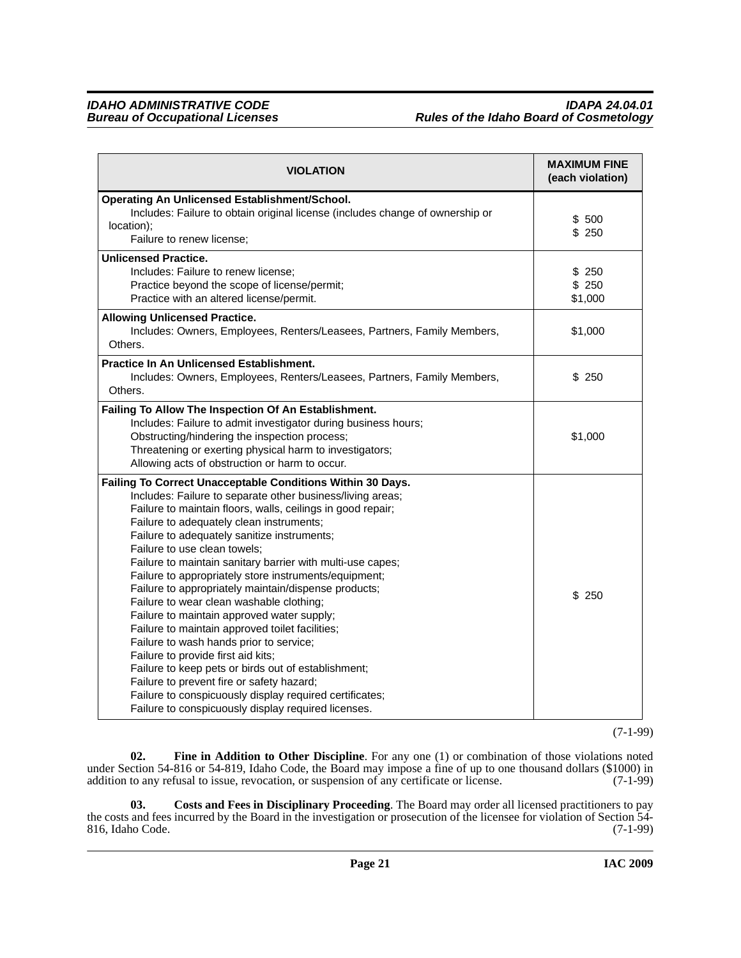| <b>VIOLATION</b>                                                                                                                                                                                                                                                                                                                                                                                                                                                                                                                                                                                                                                                                                                                                                                                                                                                                                                                                      | <b>MAXIMUM FINE</b><br>(each violation) |
|-------------------------------------------------------------------------------------------------------------------------------------------------------------------------------------------------------------------------------------------------------------------------------------------------------------------------------------------------------------------------------------------------------------------------------------------------------------------------------------------------------------------------------------------------------------------------------------------------------------------------------------------------------------------------------------------------------------------------------------------------------------------------------------------------------------------------------------------------------------------------------------------------------------------------------------------------------|-----------------------------------------|
| Operating An Unlicensed Establishment/School.<br>Includes: Failure to obtain original license (includes change of ownership or<br>location);<br>Failure to renew license;                                                                                                                                                                                                                                                                                                                                                                                                                                                                                                                                                                                                                                                                                                                                                                             | \$ 500<br>\$250                         |
| <b>Unlicensed Practice.</b><br>Includes: Failure to renew license;<br>Practice beyond the scope of license/permit;<br>Practice with an altered license/permit.                                                                                                                                                                                                                                                                                                                                                                                                                                                                                                                                                                                                                                                                                                                                                                                        | \$250<br>\$250<br>\$1,000               |
| <b>Allowing Unlicensed Practice.</b><br>Includes: Owners, Employees, Renters/Leasees, Partners, Family Members,<br>Others.                                                                                                                                                                                                                                                                                                                                                                                                                                                                                                                                                                                                                                                                                                                                                                                                                            | \$1,000                                 |
| <b>Practice In An Unlicensed Establishment.</b><br>Includes: Owners, Employees, Renters/Leasees, Partners, Family Members,<br>Others.                                                                                                                                                                                                                                                                                                                                                                                                                                                                                                                                                                                                                                                                                                                                                                                                                 | \$250                                   |
| Failing To Allow The Inspection Of An Establishment.<br>Includes: Failure to admit investigator during business hours;<br>Obstructing/hindering the inspection process;<br>Threatening or exerting physical harm to investigators;<br>Allowing acts of obstruction or harm to occur.                                                                                                                                                                                                                                                                                                                                                                                                                                                                                                                                                                                                                                                                  | \$1,000                                 |
| Failing To Correct Unacceptable Conditions Within 30 Days.<br>Includes: Failure to separate other business/living areas;<br>Failure to maintain floors, walls, ceilings in good repair;<br>Failure to adequately clean instruments;<br>Failure to adequately sanitize instruments;<br>Failure to use clean towels;<br>Failure to maintain sanitary barrier with multi-use capes;<br>Failure to appropriately store instruments/equipment;<br>Failure to appropriately maintain/dispense products;<br>Failure to wear clean washable clothing;<br>Failure to maintain approved water supply;<br>Failure to maintain approved toilet facilities;<br>Failure to wash hands prior to service;<br>Failure to provide first aid kits;<br>Failure to keep pets or birds out of establishment;<br>Failure to prevent fire or safety hazard;<br>Failure to conspicuously display required certificates;<br>Failure to conspicuously display required licenses. | \$250                                   |

(7-1-99)

<span id="page-20-1"></span>**02. Fine in Addition to Other Discipline**. For any one (1) or combination of those violations noted under Section 54-816 or 54-819, Idaho Code, the Board may impose a fine of up to one thousand dollars (\$1000) in addition to any refusal to issue, revocation, or suspension of any certificate or license. (7-1-99)

<span id="page-20-0"></span>**03. Costs and Fees in Disciplinary Proceeding**. The Board may order all licensed practitioners to pay the costs and fees incurred by the Board in the investigation or prosecution of the licensee for violation of Section 54- 816, Idaho Code. (7-1-99)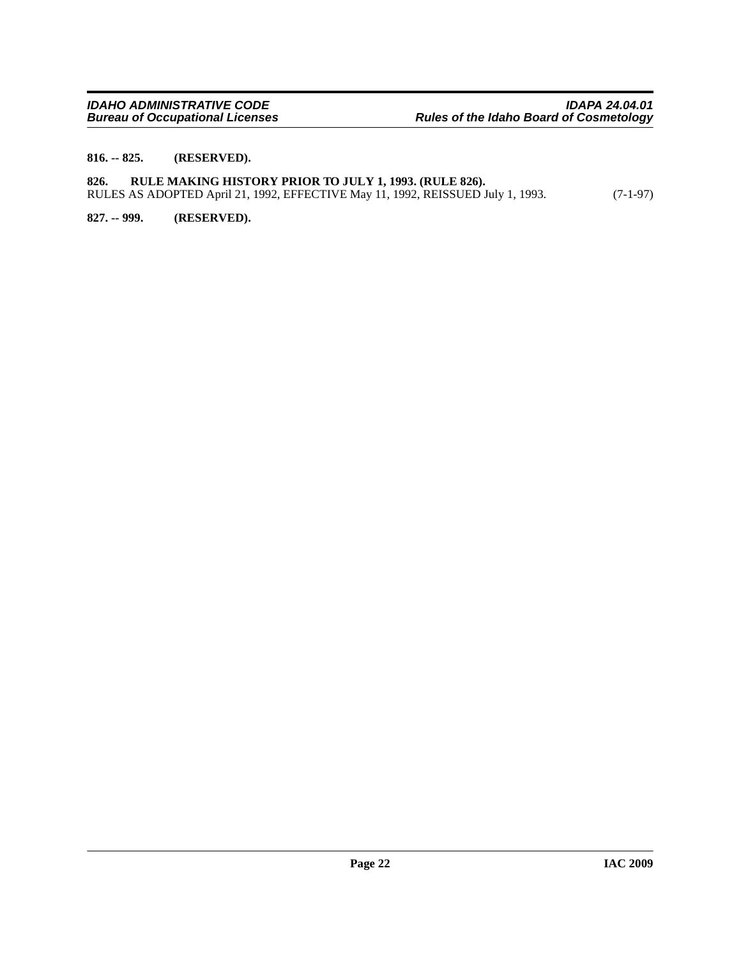#### <span id="page-21-0"></span>**816. -- 825. (RESERVED).**

#### <span id="page-21-1"></span>**826. RULE MAKING HISTORY PRIOR TO JULY 1, 1993. (RULE 826).** RULES AS ADOPTED April 21, 1992, EFFECTIVE May 11, 1992, REISSUED July 1, 1993. (7-1-97)

<span id="page-21-2"></span>**827. -- 999. (RESERVED).**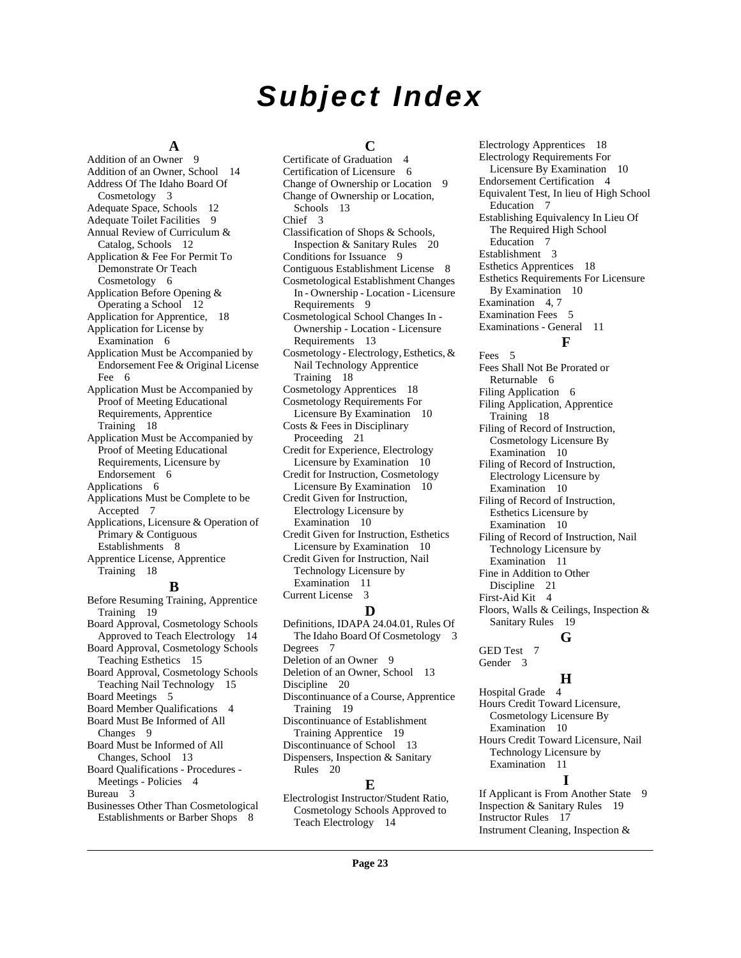# *Subject Index*

#### **A**

[Addition of an Owner](#page-8-3) 9 [Addition of an Owner, School](#page-13-2) 14 [Address Of The Idaho Board Of](#page-2-10)  Cosmetology 3 [Adequate Space, Schools](#page-11-0) 12 [Adequate Toilet Facilities](#page-8-4) 9 [Annual Review of Curriculum &](#page-11-1)  Catalog, Schools 12 [Application & Fee For Permit To](#page-5-6)  Demonstrate Or Teach Cosmetology 6 [Application Before Opening &](#page-11-2)  Operating a School 12 [Application for Apprentice,](#page-17-1) 18 [Application for License by](#page-5-7)  Examination 6 [Application Must be Accompanied by](#page-5-8)  Endorsement Fee & Original License Fee 6 [Application Must be Accompanied by](#page-17-2)  Proof of Meeting Educational Requirements, Apprentice Training 18 [Application Must be Accompanied by](#page-5-9)  Proof of Meeting Educational Requirements, Licensure by Endorsement 6 [Applications](#page-5-10) 6 [Applications Must be Complete to be](#page-6-4)  Accepted 7 [Applications, Licensure & Operation of](#page-7-0)  Primary & Contiguous Establishments 8 [Apprentice License, Apprentice](#page-17-3)  Training 18 **B** [Before Resuming Training, Apprentice](#page-18-2)  Training 19 [Board Approval, Cosmetology Schools](#page-13-3) 

Approved to Teach Electrology 14 [Board Approval, Cosmetology Schools](#page-14-4)  Teaching Esthetics 15 [Board Approval, Cosmetology Schools](#page-14-5)  Teaching Nail Technology 15 [Board Meetings](#page-4-2) 5 [Board Member Qualifications](#page-3-2) 4 [Board Must Be Informed of All](#page-8-5)  Changes 9 [Board Must be Informed of All](#page-12-2)  Changes, School 13 [Board Qualifications - Procedures -](#page-3-3)  Meetings - Policies 4 [Bureau](#page-2-11) 3

[Businesses Other Than Cosmetological](#page-7-1)  Establishments or Barber Shops 8

### **C**

[Certificate of Graduation](#page-3-4) 4 [Certification of Licensure](#page-5-11) 6 [Change of Ownership or Location](#page-8-6) 9 [Change of Ownership or Location,](#page-12-3)  Schools 13 [Chief](#page-2-12) 3 [Classification of Shops & Schools,](#page-19-2)  Inspection & Sanitary Rules 20 [Conditions for Issuance](#page-8-7) 9 [Contiguous Establishment License](#page-7-2) 8 [Cosmetological Establishment Changes](#page-8-8)  In - Ownership - Location - Licensure Requirements 9 [Cosmetological School Changes In -](#page-12-4)  Ownership - Location - Licensure Requirements 13 [Cosmetology - Electrology, Esthetics, &](#page-17-4)  Nail Technology Apprentice Training 18 [Cosmetology Apprentices](#page-17-5) 18 [Cosmetology Requirements For](#page-9-5)  Licensure By Examination 10 [Costs & Fees in Disciplinary](#page-20-0)  Proceeding 21 [Credit for Experience, Electrology](#page-9-6)  Licensure by Examination 10 [Credit for Instruction, Cosmetology](#page-9-7)  Licensure By Examination 10 [Credit Given for Instruction,](#page-9-8)  Electrology Licensure by Examination 10 [Credit Given for Instruction, Esthetics](#page-9-9)  Licensure by Examination 10 [Credit Given for Instruction, Nail](#page-10-8)  Technology Licensure by Examination 11 [Current License](#page-2-13) 3 **D** [Definitions, IDAPA 24.04.01, Rules Of](#page-2-14)  [Degrees](#page-6-5) 7

The Idaho Board Of Cosmetology 3 [Deletion of an Owner](#page-8-9) 9 [Deletion of an Owner, School](#page-12-5) 13 [Discipline](#page-19-3) 20 [Discontinuance of a Course, Apprentice](#page-18-3)  Training 19 [Discontinuance of Establishment](#page-18-4)  Training Apprentice 19 [Discontinuance of School](#page-12-6) 13 [Dispensers, Inspection & Sanitary](#page-19-4)  Rules 20

#### **E**

[Electrologist Instructor/Student Ratio,](#page-13-4)  Cosmetology Schools Approved to Teach Electrology 14

[Electrology Apprentices](#page-17-6) 18 [Electrology Requirements For](#page-9-10)  Licensure By Examination 10 [Endorsement Certification](#page-3-5) 4 [Equivalent Test, In lieu of High School](#page-6-6)  Education 7 [Establishing Equivalency In Lieu Of](#page-6-7)  The Required High School Education 7 [Establishment](#page-2-15) 3 [Esthetics Apprentices](#page-17-7) 18 [Esthetics Requirements For Licensure](#page-9-11)  By Examination 10 [Examination](#page-3-6) 4, [7](#page-6-8) [Examination Fees](#page-4-3) 5 [Examinations - General](#page-10-9) 11 **F** [Fees](#page-4-4) 5 [Fees Shall Not Be Prorated or](#page-5-12)  Returnable 6

[Filing Application](#page-5-13) 6 [Filing Application, Apprentice](#page-17-8)  Training 18 [Filing of Record of Instruction,](#page-9-12)  Cosmetology Licensure By Examination 10 [Filing of Record of Instruction,](#page-9-13)  Electrology Licensure by Examination 10 [Filing of Record of Instruction,](#page-9-14)  Esthetics Licensure by Examination 10

- [Filing of Record of Instruction, Nail](#page-10-10)  Technology Licensure by Examination 11
- [Fine in Addition to Other](#page-20-1)
- Discipline 21

[First-Aid Kit](#page-3-7) 4 [Floors, Walls & Ceilings, Inspection &](#page-18-5)  Sanitary Rules 19

**G**

[GED Test](#page-6-9) 7 [Gender](#page-2-16) 3

**H** [Hospital Grade](#page-3-8) 4 [Hours Credit Toward Licensure,](#page-9-15)  Cosmetology Licensure By Examination 10 [Hours Credit Toward Licensure, Nail](#page-10-11)  Technology Licensure by Examination 11 **I**

[If Applicant is From Another State](#page-8-10) 9 [Inspection & Sanitary Rules](#page-18-6) 19 [Instructor Rules](#page-16-3) 17 [Instrument Cleaning, Inspection &](#page-19-5)